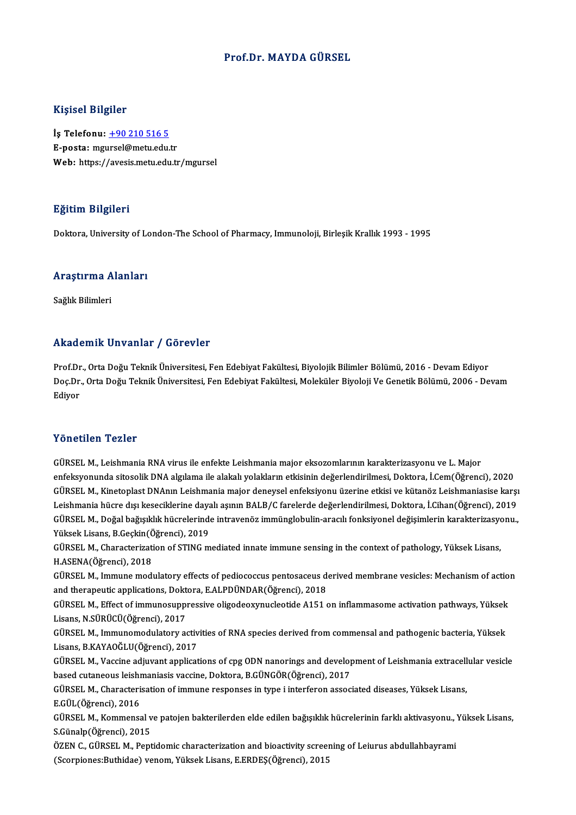#### Prof.Dr.MAYDA GÜRSEL

#### Kişisel Bilgiler

İş Telefonu: +90 210 516 5 E-posta: mg[ursel@metu.edu](tel:+90 210 516 5).tr Web: https://avesis.metu.edu.tr/mgursel

#### Eğitim Bilgileri

Doktora, University of London-The School of Pharmacy, Immunoloji, Birlesik Krallık 1993 - 1995

## boktora, oniversity of Lt<br>Araştırma Alanları <mark>Araştırma A</mark><br>Sağlık Bilimleri

## Akademik Unvanlar / Görevler

Prof.Dr., Orta Doğu Teknik Üniversitesi, Fen Edebiyat Fakültesi, Biyolojik Bilimler Bölümü, 2016 - Devam Ediyor rrittat Emrit "Birvannar" yı defet ref<br>Prof.Dr., Orta Doğu Teknik Üniversitesi, Fen Edebiyat Fakültesi, Biyolojik Bilimler Bölümü, 2016 - Devam Ediyor<br>Doç.Dr., Orta Doğu Teknik Üniversitesi, Fen Edebiyat Fakültesi, Molekül Prof.Dr<br>Doç.Dr<br>Ediyor Yönetilen Tezler

GÜRSELM.,LeishmaniaRNAvirus ile enfekte Leishmaniamajor eksozomlarınınkarakterizasyonu ve L.Major enfeksyonunda sitosolikDNAalgılama ile alakalıyolaklarınetkisinindeğerlendirilmesi,Doktora, İ.Cem(Öğrenci),2020 GÜRSEL M., Leishmania RNA virus ile enfekte Leishmania major eksozomlarının karakterizasyonu ve L. Major<br>enfeksyonunda sitosolik DNA algılama ile alakalı yolakların etkisinin değerlendirilmesi, Doktora, İ.Cem(Öğrenci), 202 enfeksyonunda sitosolik DNA algılama ile alakalı yolakların etkisinin değerlendirilmesi, Doktora, İ.Cem(Öğrenci), 2020<br>GÜRSEL M., Kinetoplast DNAnın Leishmania major deneysel enfeksiyonu üzerine etkisi ve kütanöz Leishmani GÜRSEL M., Kinetoplast DNAnın Leishmania major deneysel enfeksiyonu üzerine etkisi ve kütanöz Leishmaniasise karşı<br>Leishmania hücre dışı keseciklerine dayalı aşının BALB/C farelerde değerlendirilmesi, Doktora, İ.Cihan(Öğre Leishmania hücre dışı keseciklerine daya<br>GÜRSEL M., Doğal bağışıklık hücrelerind<br>Yüksek Lisans, B.Geçkin(Öğrenci), 2019<br>GÜRSEL M. Charasterization ef STINC m GÜRSEL M., Doğal bağışıklık hücrelerinde intravenöz immünglobulin-aracılı fonksiyonel değişimlerin karakterizasyonu.,<br>Yüksek Lisans, B.Geçkin(Öğrenci), 2019<br>GÜRSEL M., Characterization of STING mediated innate immune sensi

Yüksek Lisans, B.Geçkin(Ö<br>GÜRSEL M., Characterizati<br>H.ASENA(Öğrenci), 2018<br>CÜRSEL M. Immune medi GÜRSEL M., Characterization of STING mediated innate immune sensing in the context of pathology, Yüksek Lisans,<br>H.ASENA(Öğrenci), 2018<br>GÜRSEL M., Immune modulatory effects of pediococcus pentosaceus derived membrane vesicl

H.ASENA(Öğrenci), 2018<br>GÜRSEL M., Immune modulatory effects of pediococcus pentosaceus de<br>and therapeutic applications, Doktora, E.ALPDÜNDAR(Öğrenci), 2018<br>CÜRSEL M. Effect of immunesuppressive eligedeerwyselectide A151.6 GÜRSEL M., Immune modulatory effects of pediococcus pentosaceus derived membrane vesicles: Mechanism of action<br>and therapeutic applications, Doktora, E.ALPDÜNDAR(Öğrenci), 2018<br>GÜRSEL M., Effect of immunosuppressive oligod

and therapeutic applications, Doktora, E.ALPDÜNDAR(Öğrenci), 2018<br>GÜRSEL M., Effect of immunosuppressive oligodeoxynucleotide A151 on inflammasome activation pathways, Yüksek<br>Lisans, N.SÜRÜCÜ(Öğrenci), 2017<br>GÜRSEL M., Immu GÜRSEL M., Effect of immunosuppressive oligodeoxynucleotide A151 on inflammasome activation pathways, Yüksek

Lisans, B.KAYAOĞLU(Öğrenci), 2017 GÜRSEL M., Immunomodulatory activities of RNA species derived from commensal and pathogenic bacteria, Yüksek<br>Lisans, B.KAYAOĞLU(Öğrenci), 2017<br>GÜRSEL M., Vaccine adjuvant applications of cpg ODN nanorings and development o

Lisans, B.KAYAOĞLU(Öğrenci), 2017<br>GÜRSEL M., Vaccine adjuvant applications of cpg ODN nanorings and develop<br>based cutaneous leishmaniasis vaccine, Doktora, B.GÜNGÖR(Öğrenci), 2017<br>CÜRSEL M. Characterisation of immune respo GÜRSEL M., Vaccine adjuvant applications of cpg ODN nanorings and development of Leishmania extracell<br>based cutaneous leishmaniasis vaccine, Doktora, B.GÜNGÖR(Öğrenci), 2017<br>GÜRSEL M., Characterisation of immune responses

based cutaneous leishmaniasis vaccine, Doktora, B.GÜNGÖR(Öğrenci), 2017<br>GÜRSEL M., Characterisation of immune responses in type i interferon associated diseases, Yüksek Lisans,<br>E.GÜL(Öğrenci), 2016

GÜRSEL M., Characterisation of immune responses in type i interferon associated diseases, Yüksek Lisans,<br>E.GÜL(Öğrenci), 2016<br>GÜRSEL M., Kommensal ve patojen bakterilerden elde edilen bağışıklık hücrelerinin farklı aktivas E.GÜL(Öğrenci), 2016<br>GÜRSEL M., Kommensal v<br>S.Günalp(Öğrenci), 2015<br>ÖZEN C. CÜRSEL M. Bent GÜRSEL M., Kommensal ve patojen bakterilerden elde edilen bağışıklık hücrelerinin farklı aktivasyonu., '<br>S.Günalp(Öğrenci), 2015<br>ÖZEN C., GÜRSEL M., Peptidomic characterization and bioactivity screening of Leiurus abdullah

S.Günalp(Öğrenci), 2015<br>ÖZEN C., GÜRSEL M., Peptidomic characterization and bioactivity screeı<br>(Scorpiones:Buthidae) venom, Yüksek Lisans, E.ERDEŞ(Öğrenci), 2015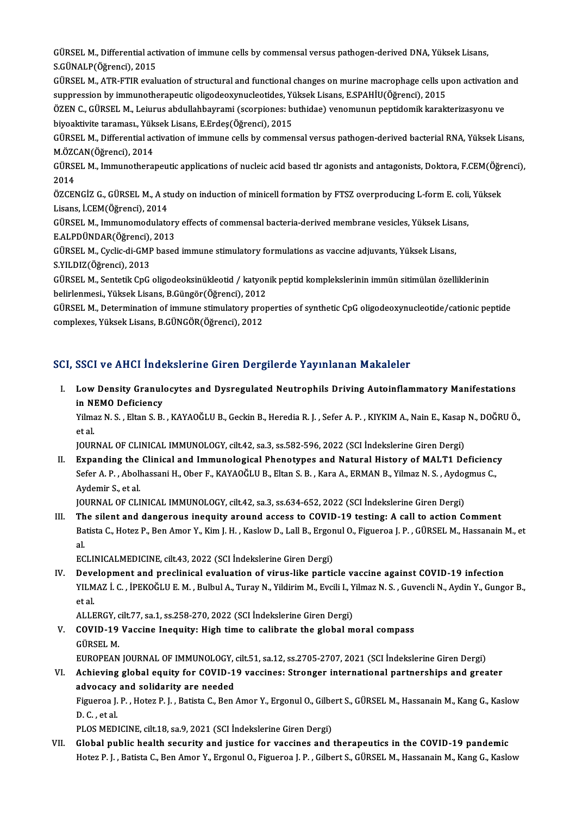GÜRSEL M., Differential activation of immune cells by commensal versus pathogen-derived DNA, Yüksek Lisans,<br>S.CÜNALP(Öğrensi), 2015 GÜRSEL M., Differential act<br>S.GÜNALP(Öğrenci), 2015<br>GÜBSEL M. ATB ETIB avalı GÜRSEL M., Differential activation of immune cells by commensal versus pathogen-derived DNA, Yüksek Lisans,<br>S.GÜNALP(Öğrenci), 2015<br>GÜRSEL M., ATR-FTIR evaluation of structural and functional changes on murine macrophage c

S.GÜNALP(Öğrenci), 2015<br>GÜRSEL M., ATR-FTIR evaluation of structural and functional changes on murine macrophage cells up<br>suppression by immunotherapeutic oligodeoxynucleotides, Yüksek Lisans, E.SPAHİU(Öğrenci), 2015<br>ÖZEN GÜRSEL M., ATR-FTIR evaluation of structural and functional changes on murine macrophage cells upon activation and<br>suppression by immunotherapeutic oligodeoxynucleotides, Yüksek Lisans, E.SPAHİU(Öğrenci), 2015<br>ÖZEN C., GÜR

suppression by immunotherapeutic oligodeoxynucleotides, Yüksek<br>ÖZEN C., GÜRSEL M., Leiurus abdullahbayrami (scorpiones: b<br>biyoaktivite taraması., Yüksek Lisans, E.Erdeş(Öğrenci), 2015<br>CÜRSEL M. Differential activation of i ÖZEN C., GÜRSEL M., Leiurus abdullahbayrami (scorpiones: buthidae) venomunun peptidomik karakterizasyonu ve<br>biyoaktivite taraması., Yüksek Lisans, E.Erdeş(Öğrenci), 2015<br>GÜRSEL M., Differential activation of immune cells b

biyoaktivite taraması., Yük<br>GÜRSEL M., Differential ac<br>M.ÖZCAN(Öğrenci), 2014<br>CÜBSEL M. Immunatharal GÜRSEL M., Differential activation of immune cells by commensal versus pathogen-derived bacterial RNA, Yüksek Lisans,<br>M.ÖZCAN(Öğrenci), 2014<br>GÜRSEL M., Immunotherapeutic applications of nucleic acid based tlr agonists and

M.ÖZC<br>GÜRSI<br>2014<br>ÖZCEL GÜRSEL M., Immunotherapeutic applications of nucleic acid based tlr agonists and antagonists, Doktora, F.CEM(Öğr<br>2014<br>ÖZCENGİZ G., GÜRSEL M., A study on induction of minicell formation by FTSZ overproducing L-form E. coli,

2014<br>ÖZCENGİZ G., GÜRSEL M., A study on induction of minicell formation by FTSZ overproducing L-form E. coli, Yüksek<br>Lisans, İ.CEM(Öğrenci), 2014 ÖZCENGİZ G., GÜRSEL M., A study on induction of minicell formation by FTSZ overproducing L-form E. coli<br>Lisans, İ.CEM(Öğrenci), 2014<br>GÜRSEL M., Immunomodulatory effects of commensal bacteria-derived membrane vesicles, Yüks

Lisans, İ.CEM(Öğrenci), 2014<br>GÜRSEL M., Immunomodulatory<br>E.ALPDÜNDAR(Öğrenci), 2013<br>CÜBSEL M. Cyslia di CMB based GÜRSEL M., Immunomodulatory effects of commensal bacteria-derived membrane vesicles, Yüksek Lisa<br>E.ALPDÜNDAR(Öğrenci), 2013<br>GÜRSEL M., Cyclic-di-GMP based immune stimulatory formulations as vaccine adjuvants, Yüksek Lisans

E.ALPDÜNDAR(Öğrenci),<br>GÜRSEL M., Cyclic-di-GMF<br>S.YILDIZ(Öğrenci), 2013<br>CÜRSEL M. Sontatik CDC GÜRSEL M., Cyclic-di-GMP based immune stimulatory formulations as vaccine adjuvants, Yüksek Lisans,<br>S.YILDIZ(Öğrenci), 2013<br>GÜRSEL M., Sentetik CpG oligodeoksinükleotid / katyonik peptid komplekslerinin immün sitimülan öze

S.YILDIZ(Öğrenci), 2013<br>GÜRSEL M., Sentetik CpG oligodeoksinükleotid / katyon<br>belirlenmesi., Yüksek Lisans, B.Güngör(Öğrenci), 2012<br>GÜRSEL M., Determination of immune stimulatery pron GÜRSEL M., Sentetik CpG oligodeoksinükleotid / katyonik peptid komplekslerinin immün sitimülan özelliklerinin<br>belirlenmesi., Yüksek Lisans, B.Güngör(Öğrenci), 2012<br>GÜRSEL M., Determination of immune stimulatory properties

belirlenmesi,, Yüksek Lisans, B.Güngör(Öğrenci), 2012<br>GÜRSEL M., Determination of immune stimulatory pro<br>complexes, Yüksek Lisans, B.GÜNGÖR(Öğrenci), 2012

# complexes, Yüksek Lisans, B.GÜNGÖR(Öğrenci), 2012<br>SCI, SSCI ve AHCI İndekslerine Giren Dergilerde Yayınlanan Makaleler

CI, SSCI ve AHCI İndekslerine Giren Dergilerde Yayınlanan Makaleler<br>I. Low Density Granulocytes and Dysregulated Neutrophils Driving Autoinflammatory Manifestations<br>in NEMO Deficioney **LOW Density Granule<br>In NEMO Deficiency<br>Vilmog N.S., Elton S.B.** Low Density Granulocytes and Dysregulated Neutrophils Driving Autoinflammatory Manifestations<br>in NEMO Deficiency<br>Yilmaz N. S. , Eltan S. B. , KAYAOĞLU B., Geckin B., Heredia R. J. , Sefer A. P. , KIYKIM A., Nain E., Kasap

in Nl<br>Yilma<br>et al.<br>IOUP Yilmaz N. S. , Eltan S. B. , KAYAOĞLU B., Geckin B., Heredia R. J. , Sefer A. P. , KIYKIM A., Nain E., Kasap<br>et al.<br>JOURNAL OF CLINICAL IMMUNOLOGY, cilt.42, sa.3, ss.582-596, 2022 (SCI İndekslerine Giren Dergi)<br>Eunanding t

et al.<br>I . I . Expanding the Clinical and Immunological Phenotypes and Natural History of MALT1 Deficiency<br>I . Expanding the Clinical and Immunological Phenotypes and Natural History of MALT1 Deficiency<br>Sefen A. B. Abelbes JOURNAL OF CLINICAL IMMUNOLOGY, cilt.42, sa.3, ss.582-596, 2022 (SCI İndekslerine Giren Dergi)<br>Expanding the Clinical and Immunological Phenotypes and Natural History of MALT1 Deficienc<br>Sefer A. P. , Abolhassani H., Ober F Expanding the<br>Sefer A. P. , Aboll<br>Aydemir S., et al.<br>JOUPMAL OF CLI Sefer A. P. , Abolhassani H., Ober F., KAYAOĞLU B., Eltan S. B. , Kara A., ERMAN B., Yilmaz N. S. , Aydogmus C.,<br>Aydemir S., et al.<br>JOURNAL OF CLINICAL IMMUNOLOGY, cilt.42, sa.3, ss.634-652, 2022 (SCI İndekslerine Giren De

III. The silent and dangerous inequity around access to COVID-19 testing: A call to action Comment JOURNAL OF CLINICAL IMMUNOLOGY, cilt.42, sa.3, ss.634-652, 2022 (SCI İndekslerine Giren Dergi)<br>The silent and dangerous inequity around access to COVID-19 testing: A call to action Comment<br>Batista C., Hotez P., Ben Amor Y. Th<br>Ba<br>al Batista C., Hotez P., Ben Amor Y., Kim J. H. , Kaslow D., Lall B., Ergor<br>al.<br>ECLINICALMEDICINE, cilt.43, 2022 (SCI İndekslerine Giren Dergi)<br>Develenment and preslinisel evaluation of virus like parti al.<br>IV. Development and preclinical evaluation of virus-like particle vaccine against COVID-19 infection<br>IV. Development and preclinical evaluation of virus-like particle vaccine against COVID-19 infection

ECLINICALMEDICINE, cilt.43, 2022 (SCI İndekslerine Giren Dergi)<br>Development and preclinical evaluation of virus-like particle vaccine against COVID-19 infection<br>YILMAZ İ. C. , İPEKOĞLU E. M. , Bulbul A., Turay N., Yildirim **Deve**<br>YILM<br>et al. YILMAZ İ. C. , İPEKOĞLU E. M. , Bulbul A., Turay N., Yildirim M., Evcili I., Y<br>et al.<br>ALLERGY, cilt.77, sa.1, ss.258-270, 2022 (SCI İndekslerine Giren Dergi)<br>COVID 19 Vassine Inequity: Hish time te salihrate the slebel m

ALLERGY, cilt 77, sa.1, ss.258-270, 2022 (SCI İndekslerine Giren Dergi)

et al.<br>ALLERGY, cilt.77, sa.1, ss.258-270, 2022 (SCI İndekslerine Giren Dergi)<br>V. COVID-19 Vaccine Inequity: High time to calibrate the global moral compass<br>GÜRSEL M.

EUROPEAN JOURNAL OF IMMUNOLOGY, cilt.51, sa.12, ss.2705-2707, 2021 (SCI İndekslerine Giren Dergi)

GÜRSEL M.<br>EUROPEAN JOURNAL OF IMMUNOLOGY, cilt.51, sa.12, ss.2705-2707, 2021 (SCI İndekslerine Giren Dergi)<br>VI. Achieving global equity for COVID-19 vaccines: Stronger international partnerships and greater<br>advasesy an EUROPEAN JOURNAL OF IMMUNOLOGY,<br>Achieving global equity for COVID-1<br>advocacy and solidarity are needed<br>Figueree J. B., Hoter B. J., Botiste C. Bon Achieving global equity for COVID-19 vaccines: Stronger international partnerships and greater<br>advocacy and solidarity are needed<br>Figueroa J. P. , Hotez P. J. , Batista C., Ben Amor Y., Ergonul O., Gilbert S., GÜRSEL M., H

advocacy and solidarity are needed<br>Figueroa J. P. , Hotez P. J. , Batista C., Ben Amor Y., Ergonul O., Gilbert S., GÜRSEL M., Hassanain M., Kang G., Kaslow<br>D. C. , et al.

PLOS MEDICINE, cilt.18, sa.9, 2021 (SCI İndekslerine Giren Dergi)

VII. Global public health security and justice for vaccines and therapeutics in the COVID-19 pandemic Hotez P. J., Batista C., Ben Amor Y., Ergonul O., Figueroa J. P., Gilbert S., GÜRSEL M., Hassanain M., Kang G., Kaslow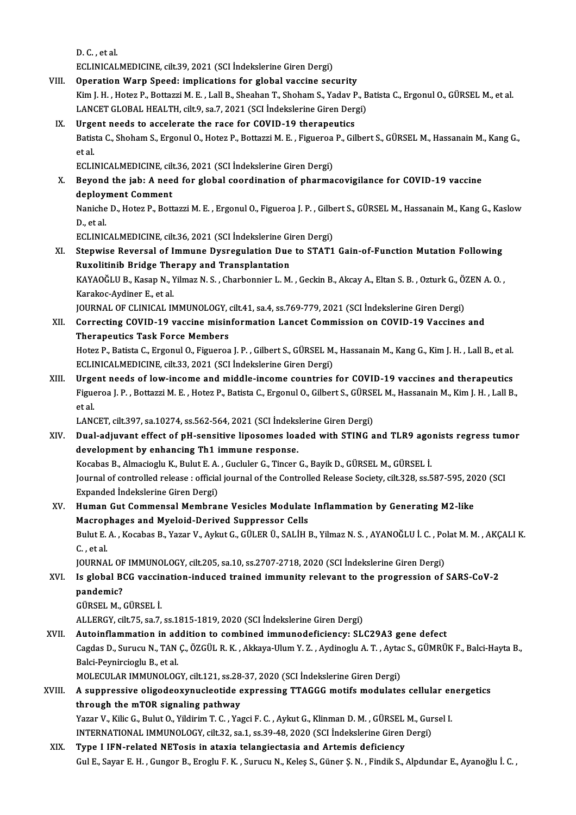D.C., et al.

ECLINICALMEDICINE, cilt.39, 2021 (SCI İndekslerine Giren Dergi)

- VIII. Operation Warp Speed: implications for global vaccine security ECLINICALMEDICINE, cilt.39, 2021 (SCI İndekslerine Giren Dergi)<br>Operation Warp Speed: implications for global vaccine security<br>Kim J. H. , Hotez P., Bottazzi M. E. , Lall B., Sheahan T., Shoham S., Yadav P., Batista C., Er Operation Warp Speed: implications for global vaccine security<br>Kim J. H. , Hotez P., Bottazzi M. E. , Lall B., Sheahan T., Shoham S., Yadav P., B<br>LANCET GLOBAL HEALTH, cilt.9, sa.7, 2021 (SCI İndekslerine Giren Dergi)<br>Urge
	- LANCET GLOBAL HEALTH, cilt.9, sa.7, 2021 (SCI Indekslerine Giren Dergi)<br>IX. Urgent needs to accelerate the race for COVID-19 therapeutics LANCET GLOBAL HEALTH, cilt.9, sa.7, 2021 (SCI İndekslerine Giren Dergi)<br>Urgent needs to accelerate the race for COVID-19 therapeutics<br>Batista C., Shoham S., Ergonul O., Hotez P., Bottazzi M. E. , Figueroa P., Gilbert S., G **Urge<br>Batis<br>et al.**<br>ECLU Batista C., Shoham S., Ergonul O., Hotez P., Bottazzi M. E. , Figueroa<br>et al.<br>ECLINICALMEDICINE, cilt.36, 2021 (SCI İndekslerine Giren Dergi)<br>Boyand the iaby A need for slabel seerdination of pharma et al.<br>ECLINICALMEDICINE, cilt.36, 2021 (SCI İndekslerine Giren Dergi)<br>X. Beyond the jab: A need for global coordination of pharmacovigilance for COVID-19 vaccine

ECLINICALMEDICINE, cil<mark>t</mark><br>Beyond the jab: A nee<br>deployment Comment<br>Napishe D. Heter B. Bett deployment Comment

Naniche D., Hotez P., Bottazzi M. E. , Ergonul O., Figueroa J. P. , Gilbert S., GÜRSEL M., Hassanain M., Kang G., Kaslow<br>D., et al. Naniche D., Hotez P., Bottazzi M. E. , Ergonul O., Figueroa J. P. , Gilbe<br>D., et al.<br>ECLINICALMEDICINE, cilt.36, 2021 (SCI İndekslerine Giren Dergi)<br>Stanuise Beyersel of Immune Dyeregyletian Due te STAT1

XI. Stepwise Reversal of Immune Dysregulation Due to STAT1 Gain-of-Function Mutation Following<br>Ruxolitinib Bridge Therapy and Transplantation ECLINICALMEDICINE, cilt.36, 2021 (SCI İndekslerine Gi<br>Stepwise Reversal of Immune Dysregulation Due<br>Ruxolitinib Bridge Therapy and Transplantation<br>KAVAQČLU P. Kasan N. Vilman N. S. Charbonnian L. M Stepwise Reversal of Immune Dysregulation Due to STAT1 Gain-of-Function Mutation Following<br>Ruxolitinib Bridge Therapy and Transplantation<br>KAYAOĞLU B., Kasap N., Yilmaz N. S. , Charbonnier L. M. , Geckin B., Akcay A., Eltan

Ruxolitinib Bridge The<br>KAYAOĞLU B., Kasap N., 1<br>Karakoc-Aydiner E., et al.<br>JOUPNAL OF GLINICAL IN KAYAOĞLU B., Kasap N., Yilmaz N. S. , Charbonnier L. M. , Geckin B., Akcay A., Eltan S. B. , Ozturk G., Ö.<br>Karakoc-Aydiner E., et al.<br>JOURNAL OF CLINICAL IMMUNOLOGY, cilt.41, sa.4, ss.769-779, 2021 (SCI İndekslerine Giren

Karakoc-Aydiner E., et al.<br>JOURNAL OF CLINICAL IMMUNOLOGY, cilt.41, sa.4, ss.769-779, 2021 (SCI Indekslerine Giren Dergi)<br>XII. Correcting COVID-19 vaccine misinformation Lancet Commission on COVID-19 Vaccines and<br>There JOURNAL OF CLINICAL IMMUNOLOGY,<br>Correcting COVID-19 vaccine misin<br>Therapeutics Task Force Members<br>Hoter B. Batista C. Exsenul O. Eiguerea Correcting COVID-19 vaccine misinformation Lancet Commission on COVID-19 Vaccines and<br>Therapeutics Task Force Members<br>Hotez P., Batista C., Ergonul O., Figueroa J. P. , Gilbert S., GÜRSEL M., Hassanain M., Kang G., Kim J.

Therapeutics Task Force Members<br>Hotez P., Batista C., Ergonul O., Figueroa J. P. , Gilbert S., GÜRSEL M., Hassanain M., Kang G., Kim J. H. , Lall B., et al.<br>ECLINICALMEDICINE, cilt.33, 2021 (SCI İndekslerine Giren Dergi) Hotez P., Batista C., Ergonul O., Figueroa J. P., Gilbert S., GÜRSEL M., Hassanain M., Kang G., Kim J. H., Lall B., et al.<br>ECLINICALMEDICINE, cilt.33, 2021 (SCI Indekslerine Giren Dergi)<br>XIII. Urgent needs of low-income an

ECLINICALMEDICINE, cilt.33, 2021 (SCI İndekslerine Giren Dergi)<br>Urgent needs of low-income and middle-income countries for COVID-19 vaccines and therapeutics<br>Figueroa J. P. , Bottazzi M. E. , Hotez P., Batista C., Ergonul **Urge<br>Figue<br>et al.** Figueroa J. P. , Bottazzi M. E. , Hotez P., Batista C., Ergonul O., Gilbert S., GÜRSE<br>et al.<br>LANCET, cilt.397, sa.10274, ss.562-564, 2021 (SCI İndekslerine Giren Dergi)<br>Dual adiuyant effect of pH sonsitive linesemes loaded et al.<br>LANCET, cilt.397, sa.10274, ss.562-564, 2021 (SCI İndekslerine Giren Dergi)<br>XIV. Dual-adjuvant effect of pH-sensitive liposomes loaded with STING and TLR9 agonists regress tumor

development by enhancing Th1 immune response. Dual-adjuvant effect of pH-sensitive liposomes loaded with STING and TLR9 ago<br>development by enhancing Th1 immune response.<br>Kocabas B., Almacioglu K., Bulut E. A. , Gucluler G., Tincer G., Bayik D., GÜRSEL M., GÜRSEL İ.<br>Jo Journal of controlled release : official journal of the Controlled Release Society, cilt.328, ss.587-595, 2020 (SCI<br>Expanded Indekslerine Giren Dergi) Kocabas B., Almacioglu K., Bulut E. A.<br>Journal of controlled release : official<br>Expanded Indekslerine Giren Dergi)<br>Human Cut Commonsol Mombror Journal of controlled release : official journal of the Controlled Release Society, cilt.328, ss.587-595, 20<br>Expanded Indekslerine Giren Dergi)<br>XV. Human Gut Commensal Membrane Vesicles Modulate Inflammation by Generating

### Expanded İndekslerine Giren Dergi)<br>Human Gut Commensal Membrane Vesicles Modulate<br>Macrophages and Myeloid-Derived Suppressor Cells<br>Pulut E.A., Kessbas B. Yazar V. Arlut G. GÜLER Ü. SALİH I Human Gut Commensal Membrane Vesicles Modulate Inflammation by Generating M2-like<br>Macrophages and Myeloid-Derived Suppressor Cells<br>Bulut E. A. , Kocabas B., Yazar V., Aykut G., GÜLER Ü., SALİH B., Yilmaz N. S. , AYANOĞLU İ Macrop<br>Bulut E.<br>C. , et al.<br>IOUPMA Bulut E. A. , Kocabas B., Yazar V., Aykut G., GÜLER Ü., SALİH B., Yilmaz N. S. , AYANOĞLU İ. C. , Po<br>C. , et al.<br>JOURNAL OF IMMUNOLOGY, cilt.205, sa.10, ss.2707-2718, 2020 (SCI İndekslerine Giren Dergi)<br>Is slabal BCC yassi

#### C. , et al.<br>JOURNAL OF IMMUNOLOGY, cilt.205, sa.10, ss.2707-2718, 2020 (SCI İndekslerine Giren Dergi)<br>XVI. Is global BCG vaccination-induced trained immunity relevant to the progression of SARS-CoV-2<br>nandamis? **JOURNAL OF**<br>Is global Be<br>pandemic?<br>CÜPSEL M Is global BCG vaccir<br>pandemic?<br>GÜRSEL M., GÜRSEL İ.<br>ALLEPCV silt 75, 82.7 pandemic?<br>GÜRSEL M., GÜRSEL İ.<br>ALLERGY, cilt.75, sa.7, ss.1815-1819, 2020 (SCI İndekslerine Giren Dergi)

## GÜRSEL M., GÜRSEL İ.<br>ALLERGY, cilt.75, sa.7, ss.1815-1819, 2020 (SCI İndekslerine Giren Dergi)<br>XVII. Autoinflammation in addition to combined immunodeficiency: SLC29A3 gene defect<br>Cessies D. Surusu N. TAN.C. ÖZCÜL B.K. Akk

ALLERGY, cilt.75, sa.7, ss.1815-1819, 2020 (SCI İndekslerine Giren Dergi)<br>**Autoinflammation in addition to combined immunodeficiency: SLC29A3 gene defect**<br>Cagdas D., Surucu N., TAN Ç., ÖZGÜL R. K. , Akkaya-Ulum Y. Z. , Ayd Autoinflammation in ad<br>Cagdas D., Surucu N., TAN<br>Balci-Peynircioglu B., et al.<br>MOLECULAR IMMUNOLOG Cagdas D., Surucu N., TAN Ç., ÖZGÜL R. K. , Akkaya-Ulum Y. Z. , Aydinoglu A. T. , Ayta<br>Balci-Peynircioglu B., et al.<br>MOLECULAR IMMUNOLOGY, cilt.121, ss.28-37, 2020 (SCI İndekslerine Giren Dergi)<br>A sunnressive elisedeeyynye

MOLECULAR IMMUNOLOGY, cilt.121, ss.28-37, 2020 (SCI İndekslerine Giren Dergi)

### Balci-Peynircioglu B., et al.<br>MOLECULAR IMMUNOLOGY, cilt.121, ss.28-37, 2020 (SCI Indekslerine Giren Dergi)<br>XVIII. A suppressive oligodeoxynucleotide expressing TTAGGG motifs modulates cellular energetics<br>through the mTOR A suppressive oligodeoxynucleotide expressing TTAGGG motifs modulates cellular er<br>through the mTOR signaling pathway<br>Yazar V., Kilic G., Bulut O., Yildirim T. C. , Yagci F. C. , Aykut G., Klinman D. M. , GÜRSEL M., Gursel through the mTOR signaling pathway<br>Yazar V., Kilic G., Bulut O., Yildirim T. C. , Yagci F. C. , Aykut G., Klinman D. M. , GÜRSEL M., Gur<br>INTERNATIONAL IMMUNOLOGY, cilt.32, sa.1, ss.39-48, 2020 (SCI İndekslerine Giren Dergi

Yazar V., Kilic G., Bulut O., Yildirim T. C., Yagci F. C., Aykut G., Klinman D. M., GÜRSEL<br>INTERNATIONAL IMMUNOLOGY, cilt.32, sa.1, ss.39-48, 2020 (SCI İndekslerine Giren<br>XIX. Type I IFN-related NETosis in ataxia telangiec INTERNATIONAL IMMUNOLOGY, cilt.32, sa.1, ss.39-48, 2020 (SCI İndekslerine Giren Dergi)<br>Type I IFN-related NETosis in ataxia telangiectasia and Artemis deficiency<br>Gul E., Sayar E. H. , Gungor B., Eroglu F. K. , Surucu N., K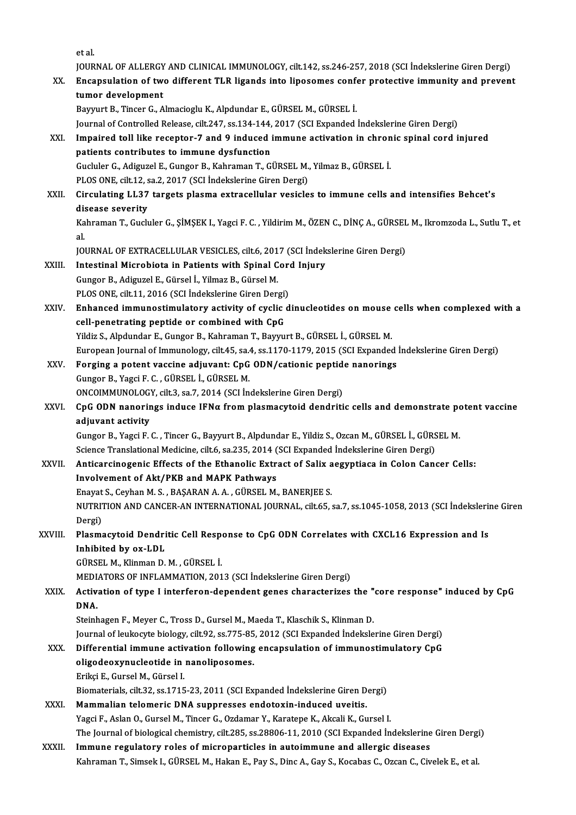etal.

et al.<br>JOURNAL OF ALLERGY AND CLINICAL IMMUNOLOGY, cilt.142, ss.246-257, 2018 (SCI İndekslerine Giren Dergi)<br>Encapaulation of two different TLP ligands into lineaemes sanfar protective immunity and preven:

#### et al.<br>JOURNAL OF ALLERGY AND CLINICAL IMMUNOLOGY, cilt.142, ss.246-257, 2018 (SCI İndekslerine Giren Dergi)<br>XX. Encapsulation of two different TLR ligands into liposomes confer protective immunity and prevent<br>tumer dev **JOURNAL OF ALLERGY<br>Encapsulation of two<br>tumor development**<br>Pourunt P. Tincer C. A XX. Encapsulation of two different TLR ligands into liposomes confer protective immunity and prevent<br>tumor development<br>Bayyurt B., Tincer G., Almacioglu K., Alpdundar E., GÜRSEL M., GÜRSEL İ.

Journal of Controlled Release, cilt.247, ss.134-144, 2017 (SCI Expanded İndekslerine Giren Dergi)

### Bayyurt B., Tincer G., Almacioglu K., Alpdundar E., GÜRSEL M., GÜRSEL İ.<br>Journal of Controlled Release, cilt.247, ss.134-144, 2017 (SCI Expanded İndekslerine Giren Dergi)<br>XXI. Impaired toll like receptor-7 and 9 induced im Journal of Controlled Release, cilt.247, ss.134-144,<br>Impaired toll like receptor-7 and 9 induced i<br>patients contributes to immune dysfunction<br>Cuclular C. Adiguael E. Cunger B. Kahraman T. Ci Impaired toll like receptor-7 and 9 induced immune activation in chron<br>patients contributes to immune dysfunction<br>Gucluler G., Adiguzel E., Gungor B., Kahraman T., GÜRSEL M., Yilmaz B., GÜRSEL İ.<br>PLOS ONE silt 12, sa 2, 20

patients contributes to immune dysfunction<br>Gucluler G., Adiguzel E., Gungor B., Kahraman T., GÜRSEL M., Yilmaz B., GÜRSEL İ.<br>PLOS ONE, cilt.12, sa.2, 2017 (SCI İndekslerine Giren Dergi)

Gucluler G., Adiguzel E., Gungor B., Kahraman T., GÜRSEL M., Yilmaz B., GÜRSEL İ.<br>PLOS ONE, cilt.12, sa.2, 2017 (SCI İndekslerine Giren Dergi)<br>XXII. Circulating LL37 targets plasma extracellular vesicles to immune cell PLOS ONE, cilt.12, s<br>Circulating LL37<br>disease severity<br>Kehremen T. Cush Circulating LL37 targets plasma extracellular vesicles to immune cells and intensifies Behcet's<br>disease severity<br>Kahraman T., Gucluler G., ŞİMŞEK I., Yagci F. C. , Yildirim M., ÖZEN C., DİNÇ A., GÜRSEL M., Ikromzoda L., Su

dis<br>Ka<br>101 Kahraman T., Gucluler G., ŞİMŞEK I., Yagci F. C. , Yildirim M., ÖZEN C., DİNÇ A., GÜRSEL<br>al.<br>JOURNAL OF EXTRACELLULAR VESICLES, cilt.6, 2017 (SCI İndekslerine Giren Dergi)<br>Intestinal Miarobiota in Patients with Spinal Gord

- al.<br>JOURNAL OF EXTRACELLULAR VESICLES, cilt.6, 2017 (SCI İndek<br>XXIII. Intestinal Microbiota in Patients with Spinal Cord Injury JOURNAL OF EXTRACELLULAR VESICLES, cilt.6, 201<br>Intestinal Microbiota in Patients with Spinal C<br>Gungor B., Adiguzel E., Gürsel İ., Yilmaz B., Gürsel M.<br>BLOS ONE, silt 11, 2016 (SCI İndekslerine Ciren Deru Intestinal Microbiota in Patients with Spinal Core<br>Gungor B., Adiguzel E., Gürsel İ., Yilmaz B., Gürsel M.<br>PLOS ONE, cilt.11, 2016 (SCI İndekslerine Giren Dergi)<br>Enhansed immunestimulatery estivity of syslic d
- Gungor B., Adiguzel E., Gürsel İ., Yilmaz B., Gürsel M.<br>PLOS ONE, cilt.11, 2016 (SCI İndekslerine Giren Dergi)<br>XXIV. Enhanced immunostimulatory activity of cyclic dinucleotides on mouse cells when complexed with a<br>cell pen PLOS ONE, cilt.11, 2016 (SCI Indekslerine Giren Dergi)<br>Enhanced immunostimulatory activity of cyclic<br>cell-penetrating peptide or combined with CpG<br>Vildir S. Alpdundan E. Gungor B. Kahnaman T. Baynu Enhanced immunostimulatory activity of cyclic dinucleotides on mouse<br>cell-penetrating peptide or combined with CpG<br>Yildiz S., Alpdundar E., Gungor B., Kahraman T., Bayyurt B., GÜRSEL İ., GÜRSEL M.<br>European Journal of Immun cell-penetrating peptide or combined with CpG<br>Yildiz S., Alpdundar E., Gungor B., Kahraman T., Bayyurt B., GÜRSEL İ., GÜRSEL M.<br>European Journal of Immunology, cilt.45, sa.4, ss.1170-1179, 2015 (SCI Expanded İndekslerine G Yildiz S., Alpdundar E., Gungor B., Kahraman T., Bayyurt B., GÜRSEL İ., GÜRSEL M.<br>European Journal of Immunology, cilt.45, sa.4, ss.1170-1179, 2015 (SCI Expanded<br>XXV. Forging a potent vaccine adjuvant: CpG ODN/cationic pep
- European Journal of Immunology, cilt.45, sa.<br>Forging a potent vaccine adjuvant: CpG<br>Gungor B., Yagci F. C. , GÜRSEL İ., GÜRSEL M.<br>ONCOIMMUNOLOCY, silt 3, sa.7, 2014 (SCL İn Forging a potent vaccine adjuvant: CpG ODN/cationic peptid<br>Gungor B., Yagci F. C. , GÜRSEL İ., GÜRSEL M.<br>ONCOIMMUNOLOGY, cilt.3, sa.7, 2014 (SCI İndekslerine Giren Dergi)<br>CpC ODN paporings induse IENs from plasmasuteid den
- Gungor B., Yagci F. C. , GÜRSEL İ., GÜRSEL M.<br>ONCOIMMUNOLOGY, cilt.3, sa.7, 2014 (SCI İndekslerine Giren Dergi)<br>XXVI. CpG ODN nanorings induce IFNα from plasmacytoid dendritic cells and demonstrate potent vaccine<br>adiuvant ONCOIMMUNOLOGY, cilt.3, sa.7, 2014 (SCI İndekslerine Giren Dergi)<br>CpG ODN nanorings induce IFNα from plasmacytoid dendritic cells and demonstrate po<br>adjuvant activity<br>Gungor B., Yagci F. C. , Tincer G., Bayyurt B., Alpdun CpG ODN nanorings induce IFNα from plasmacytoid dendritic cells and demonstrate po<br>adjuvant activity<br>Gungor B., Yagci F. C. , Tincer G., Bayyurt B., Alpdundar E., Yildiz S., Ozcan M., GÜRSEL İ., GÜRSEL M.<br>Science Translat

adjuvant activity<br>Gungor B., Yagci F. C. , Tincer G., Bayyurt B., Alpdundar E., Yildiz S., Ozcan M., GÜRSEL İ., GÜRS<br>Science Translational Medicine, cilt.6, sa.235, 2014 (SCI Expanded İndekslerine Giren Dergi)<br>Antisansinag

#### XXVII. Anticarcinogenic Effects of the Ethanolic Extract of Salix aegyptiaca in Colon Cancer Cells:<br>Involvement of Akt/PKB and MAPK Pathways Science Translational Medicine, cilt.6, sa.235, 2014 (<br>Anticarcinogenic Effects of the Ethanolic Extr<br>Involvement of Akt/PKB and MAPK Pathways<br>Frayst S. Gayban M.S., BASARAN A.A., CÜRSEL M Anticarcinogenic Effects of the Ethanolic Extract of Salix a<br>Involvement of Akt/PKB and MAPK Pathways<br>Enayat S., Ceyhan M. S. , BAŞARAN A. A. , GÜRSEL M., BANERJEE S.<br>NUTPUTION AND CANCER AN INTERNATIONAL JOURNAL gilt 65 .

NUTRITION AND CANCER-AN INTERNATIONAL JOURNAL, cilt.65, sa.7, ss.1045-1058, 2013 (SCI İndekslerine Giren<br>Dergi) Enayat<br>NUTRI<br>Dergi)<br>Plasm: NUTRITION AND CANCER-AN INTERNATIONAL JOURNAL, cilt.65, sa.7, ss.1045-1058, 2013 (SCI İndeksleri<br>Dergi)<br>XXVIII. Plasmacytoid Dendritic Cell Response to CpG ODN Correlates with CXCL16 Expression and Is

### Dergi)<br>Plasmacytoid Dendri<br>Inhibited by ox-LDL<br>C<sup>üperi</sup> M. Klinman D Plasmacytoid Dendritic Cell Resp<br>Inhibited by ox-LDL<br>GÜRSEL M., Klinman D. M. , GÜRSEL İ.<br>MEDIATORS OF INELAMMATION 201 Inhibited by ox-LDL<br>GÜRSEL M., Klinman D. M. , GÜRSEL İ.<br>MEDIATORS OF INFLAMMATION, 2013 (SCI İndekslerine Giren Dergi)<br>Activation of type Linterforen dependent genes sharasteriyes

#### GÜRSEL M., Klinman D. M. , GÜRSEL İ.<br>MEDIATORS OF INFLAMMATION, 2013 (SCI İndekslerine Giren Dergi)<br>XXIX. Activation of type I interferon-dependent genes characterizes the "core response" induced by CpG<br>DNA MEDL<br>Activ:<br>DNA. Activation of type I interferon-dependent genes characterizes the "<br>DNA.<br>Steinhagen F., Meyer C., Tross D., Gursel M., Maeda T., Klaschik S., Klinman D.<br>Journal of loukagyte biology, silt 93, ss 775, 95, 2012 (SCL Expanded DNA.<br>Steinhagen F., Meyer C., Tross D., Gursel M., Maeda T., Klaschik S., Klinman D.<br>Journal of leukocyte biology, cilt.92, ss.775-85, 2012 (SCI Expanded İndekslerine Giren Dergi)

### Steinhagen F., Meyer C., Tross D., Gursel M., Maeda T., Klaschik S., Klinman D.<br>Journal of leukocyte biology, cilt.92, ss.775-85, 2012 (SCI Expanded Indekslerine Giren Dergi)<br>XXX. Differential immune activation following e Journal of leukocyte biology, cilt.92, ss.775-85<br>Differential immune activation following<br>oligodeoxynucleotide in nanoliposomes.<br>Frikci E. Cursel M. Gürsel I. Differential immune activ<br>oligodeoxynucleotide in<br>Erikçi E., Gursel M., Gürsel I.<br>Biomatoriale silt 22, 99,1715

oligodeoxynucleotide in nanoliposomes.<br>Brikçi E., Gursel M., Gürsel I.<br>Biomaterials, cilt.32, ss.1715-23, 2011 (SCI Expanded İndekslerine Giren Dergi)

XXXI. Mammalian telomeric DNA suppresses endotoxin-induced uveitis. Yagci F., Aslan O., Gursel M., Tincer G., Ozdamar Y., Karatepe K., Akcali K., Gursel I.

The Journal of biological chemistry, cilt.285, ss.28806-11, 2010 (SCI Expanded İndekslerine Giren Dergi)

XXXII. Immune regulatory roles of microparticles in autoimmune and allergic diseases Kahraman T., Simsek I., GÜRSEL M., Hakan E., Pay S., Dinc A., Gay S., Kocabas C., Ozcan C., Civelek E., et al.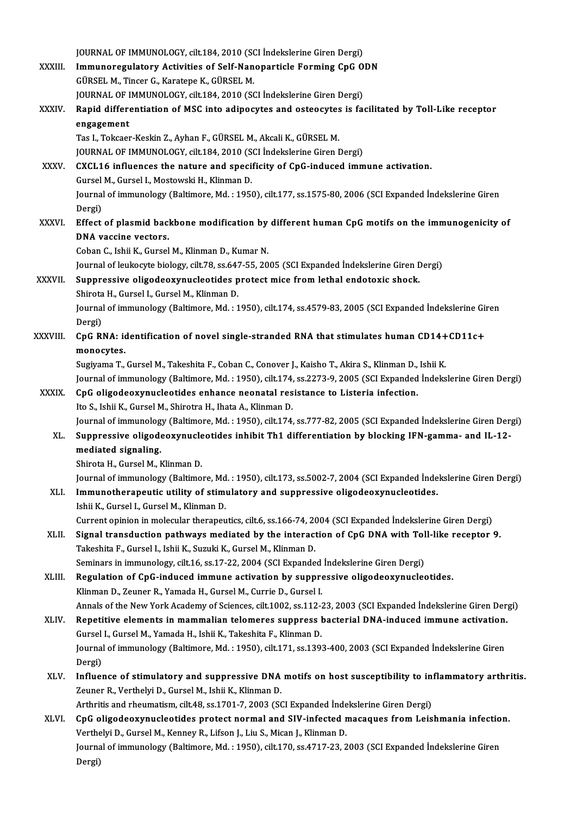JOURNAL OF IMMUNOLOGY, cilt.184, 2010 (SCI İndekslerine Giren Dergi) JOURNAL OF IMMUNOLOGY, cilt.184, 2010 (SCI İndekslerine Giren Dergi)<br>XXXIII. Immunoregulatory Activities of Self-Nanoparticle Forming CpG ODN JOURNAL OF IMMUNOLOGY, cilt.184, 2010 (SON)<br>Immunoregulatory Activities of Self-Nan<br>GÜRSEL M., Tincer G., Karatepe K., GÜRSEL M.<br>JOURNAL OF IMMUNOLOGY, silt.184, 2010 (SO Immunoregulatory Activities of Self-Nanoparticle Forming CpG O<br>GÜRSEL M., Tincer G., Karatepe K., GÜRSEL M.<br>JOURNAL OF IMMUNOLOGY, cilt.184, 2010 (SCI İndekslerine Giren Dergi)<br>Panid differentiation of MSC inte adinesutes GÜRSEL M., Tincer G., Karatepe K., GÜRSEL M.<br>JOURNAL OF IMMUNOLOGY, cilt.184, 2010 (SCI Indekslerine Giren Dergi)<br>XXXIV. Rapid differentiation of MSC into adipocytes and osteocytes is facilitated by Toll-Like receptor<br>enga JOURNAL OF IMMUNOLOGY, cilt.184, 2010 (SCI İndekslerine Giren Dergi) Rapid differentiation of MSC into adipocytes and osteocytes<br>engagement<br>Tas I., Tokcaer-Keskin Z., Ayhan F., GÜRSEL M., Akcali K., GÜRSEL M.<br>JOUPMAL OF IMMUNOLOCY silt 194, 2010 (SCL Indekslering Giron I e<mark>ngagement</mark><br>Tas I., Tokcaer-Keskin Z., Ayhan F., GÜRSEL M., Akcali K., GÜRSEL M.<br>JOURNAL OF IMMUNOLOGY, cilt.184, 2010 (SCI İndekslerine Giren Dergi)<br>CYCL16 influenses the nature and spesifisity of CpC indused imm Tas I., Tokcaer-Keskin Z., Ayhan F., GÜRSEL M., Akcali K., GÜRSEL M.<br>JOURNAL OF IMMUNOLOGY, cilt.184, 2010 (SCI İndekslerine Giren Dergi)<br>XXXV. CXCL16 influences the nature and specificity of CpG-induced immune activation. JOURNAL OF IMMUNOLOGY, cilt.184, 2010 (S)<br>CXCL16 influences the nature and specif<br>Gursel M., Gursel I., Mostowski H., Klinman D.<br>Journal of immunology (Boltimore Md. 1954) Journal of immunology (Baltimore, Md. : 1950), cilt.177, ss.1575-80, 2006 (SCI Expanded İndekslerine Giren<br>Dergi) Gursel M., Gursel I., Mostowski H., Klinman D. Journal of immunology (Baltimore, Md. : 1950), cilt.177, ss.1575-80, 2006 (SCI Expanded Indekslerine Giren<br>Dergi)<br>XXXVI. Effect of plasmid backbone modification by different human CpG motifs on the immunogenicity of Dergi)<br><mark>Effect of plasmid bac</mark>l<br>DNA vaccine vectors.<br>Ceban C. Jabii K. Cursel DNA vaccine vectors.<br>Coban C., Ishii K., Gursel M., Klinman D., Kumar N. DNA vaccine vectors.<br>Coban C., Ishii K., Gursel M., Klinman D., Kumar N.<br>Journal of leukocyte biology, cilt.78, ss.647-55, 2005 (SCI Expanded İndekslerine Giren Dergi)<br>Sunnussaive eligedeewww.elestides.pretest.mise from le XXXVII. Suppressive oligodeoxynucleotides protect mice from lethal endotoxic shock. Journal of leukocyte biology, cilt.78, ss.647<br>Suppressive oligodeoxynucleotides p<br>Shirota H., Gursel I., Gursel M., Klinman D.<br>Journal of immunology (Boltimore Md. : 1 Suppressive oligodeoxynucleotides protect mice from lethal endotoxic shock.<br>Shirota H., Gursel I., Gursel M., Klinman D.<br>Journal of immunology (Baltimore, Md. : 1950), cilt.174, ss.4579-83, 2005 (SCI Expanded İndekslerine Shirota H., Gursel I., Gursel M., Klinman D.<br>Journal of immunology (Baltimore, Md. : 1<br>Dergi) Journal of immunology (Baltimore, Md. : 1950), cilt.174, ss.4579-83, 2005 (SCI Expanded Indekslerine Gir<br>Dergi)<br>XXXVIII. CpG RNA: identification of novel single-stranded RNA that stimulates human CD14+CD11c+<br>monogytes CpG RNA: identification of novel single-stranded RNA that stimulates human CD14+CD11c+<br>monocytes. Sugiyama T., Gursel M., Takeshita F., Coban C., Conover J., Kaisho T., Akira S., Klinman D., Ishii K. monocytes.<br>Sugiyama T., Gursel M., Takeshita F., Coban C., Conover J., Kaisho T., Akira S., Klinman D., Ishii K.<br>Journal of immunology (Baltimore, Md. : 1950), cilt.174, ss.2273-9, 2005 (SCI Expanded İndekslerine Giren Der Sugiyama T., Gursel M., Takeshita F., Coban C., Conover J., Kaisho T., Akira S., Klinman D.,<br>Journal of immunology (Baltimore, Md. : 1950), cilt.174, ss.2273-9, 2005 (SCI Expanded<br>XXXIX. CpG oligodeoxynucleotides enhance n Journal of immunology (Baltimore, Md. : 1950), cilt.174,<br>CpG oligodeoxynucleotides enhance neonatal res<br>Ito S., Ishii K., Gursel M., Shirotra H., Ihata A., Klinman D.<br>Journal of immunology (Poltimore, Md. : 1950), cilt.174 CpG oligodeoxynucleotides enhance neonatal resistance to Listeria infection.<br>Ito S., Ishii K., Gursel M., Shirotra H., Ihata A., Klinman D.<br>Journal of immunology (Baltimore, Md. : 1950), cilt.174, ss.777-82, 2005 (SCI Expa Ito S., Ishii K., Gursel M., Shirotra H., Ihata A., Klinman D.<br>Journal of immunology (Baltimore, Md. : 1950), cilt.174, ss.777-82, 2005 (SCI Expanded Indekslerine Giren Derg<br>XL. Suppressive oligodeoxynucleotides inhibit Th mediated signaling.<br>Shirota H., Gursel M., Klinman D. Suppressive oligodeoxynucleotides inhibit Th1 differentiation by blocking IFN-gamma- and IL-12-Journal of immunology (Baltimore, Md. : 1950), cilt.173, ss.5002-7, 2004 (SCI Expanded İndekslerine Giren Dergi) Shirota H., Gursel M., Klinman D.<br>Journal of immunology (Baltimore, Md. : 1950), cilt.173, ss.5002-7, 2004 (SCI Expanded Inde<br>XLI. Immunotherapeutic utility of stimulatory and suppressive oligodeoxynucleotides. Journal of immunology (Baltimore, Md<br>Immunotherapeutic utility of stimi<br>Ishii K., Gursel I., Gursel M., Klinman D.<br>Current opinion in mologular thereneu Immunotherapeutic utility of stimulatory and suppressive oligodeoxynucleotides.<br>Ishii K., Gursel I., Gursel M., Klinman D.<br>Current opinion in molecular therapeutics, cilt.6, ss.166-74, 2004 (SCI Expanded İndekslerine Giren Ishii K., Gursel I., Gursel M., Klinman D.<br>Current opinion in molecular therapeutics, cilt.6, ss.166-74, 2004 (SCI Expanded Indekslerine Giren Dergi)<br>XLII. Signal transduction pathways mediated by the interaction of CpG DN Current opinion in molecular therapeutics, cilt.6, ss.166-74, 20<br>Signal transduction pathways mediated by the interact<br>Takeshita F., Gursel I., Ishii K., Suzuki K., Gursel M., Klinman D.<br>Seminers in immunelegy, silt 16, ss Signal transduction pathways mediated by the interaction of CpG DNA with Tol<br>Takeshita F., Gursel I., Ishii K., Suzuki K., Gursel M., Klinman D.<br>Seminars in immunology, cilt.16, ss.17-22, 2004 (SCI Expanded İndekslerine Gi Takeshita F., Gursel I., Ishii K., Suzuki K., Gursel M., Klinman D.<br>Seminars in immunology, cilt.16, ss.17-22, 2004 (SCI Expanded Indekslerine Giren Dergi)<br>XLIII. Regulation of CpG-induced immune activation by suppressive Seminars in immunology, cilt.16, ss.17-22, 2004 (SCI Expanded<br>Regulation of CpG-induced immune activation by suppre<br>Klinman D., Zeuner R., Yamada H., Gursel M., Currie D., Gursel I.<br>Annak of the Naw York Acedemy of Science Klinman D., Zeuner R., Yamada H., Gursel M., Currie D., Gursel I.<br>Annals of the New York Academy of Sciences, cilt.1002, ss.112-23, 2003 (SCI Expanded İndekslerine Giren Dergi) Klinman D., Zeuner R., Yamada H., Gursel M., Currie D., Gursel I.<br>Annals of the New York Academy of Sciences, cilt.1002, ss.112-23, 2003 (SCI Expanded Indekslerine Giren Der,<br>XLIV. Repetitive elements in mammalian telomere Annals of the New York Academy of Sciences, cilt,1002, ss.112-2<br>Repetitive elements in mammalian telomeres suppress l<br>Gursel I., Gursel M., Yamada H., Ishii K., Takeshita F., Klinman D.<br>Journal of immunology (Poltimore Md. Repetitive elements in mammalian telomeres suppress bacterial DNA-induced immune activation.<br>Gursel I., Gursel M., Yamada H., Ishii K., Takeshita F., Klinman D.<br>Journal of immunology (Baltimore, Md. : 1950), cilt.171, ss.1 Gursel I., Gursel M., Yamada H., Ishii K., Takeshita F., Klinman D.<br>Journal of immunology (Baltimore, Md. : 1950), cilt.171, ss.1393-400, 2003 (SCI Expanded İndekslerine Giren<br>Dergi) Journal of immunology (Baltimore, Md. : 1950), cilt.171, ss.1393-400, 2003 (SCI Expanded Indekslerine Giren<br>Dergi)<br>XLV. Influence of stimulatory and suppressive DNA motifs on host susceptibility to inflammatory arthritis. Dergi)<br>Influence of stimulatory and suppressive DNA<br>Zeuner R., Verthelyi D., Gursel M., Ishii K., Klinman D.<br>Arthritis and rhoumatism silt 48, ss 1701, 7, 2002, SS Influence of stimulatory and suppressive DNA motifs on host susceptibility to in<br>Zeuner R., Verthelyi D., Gursel M., Ishii K., Klinman D.<br>Arthritis and rheumatism, cilt.48, ss.1701-7, 2003 (SCI Expanded İndekslerine Giren Zeuner R., Verthelyi D., Gursel M., Ishii K., Klinman D.<br>Arthritis and rheumatism, cilt.48, ss.1701-7, 2003 (SCI Expanded Indekslerine Giren Dergi)<br>XLVI. CpG oligodeoxynucleotides protect normal and SIV-infected macaques f Arthritis and rheumatism, cilt.48, ss.1701-7, 2003 (SCI Expanded Inde<br>CpG oligodeoxynucleotides protect normal and SIV-infected r<br>Verthelyi D., Gursel M., Kenney R., Lifson J., Liu S., Mican J., Klinman D.<br>Journal of immun CpG oligodeoxynucleotides protect normal and SIV-infected macaques from Leishmania infectio<br>Verthelyi D., Gursel M., Kenney R., Lifson J., Liu S., Mican J., Klinman D.<br>Journal of immunology (Baltimore, Md. : 1950), cilt.17 Verthelyi D., Gursel M., Kenney R., Lifson J., Liu S., Mican J., Klinman D.<br>Journal of immunology (Baltimore, Md. : 1950), cilt.170, ss.4717-23, 2003 (SCI Expanded İndekslerine Giren<br>Dergi)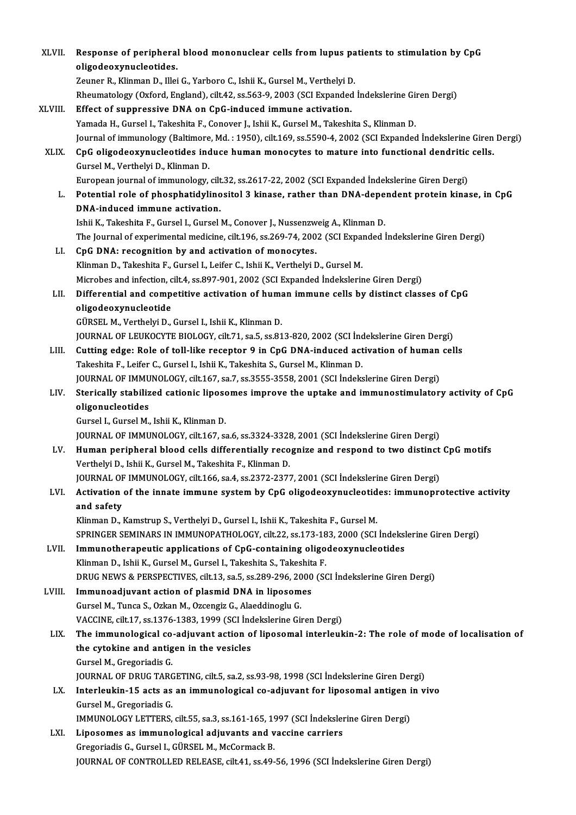| XLVII.  | Response of peripheral blood mononuclear cells from lupus patients to stimulation by CpG                                           |
|---------|------------------------------------------------------------------------------------------------------------------------------------|
|         | oligodeoxynucleotides.                                                                                                             |
|         | Zeuner R., Klinman D., Illei G., Yarboro C., Ishii K., Gursel M., Verthelyi D.                                                     |
|         | Rheumatology (Oxford, England), cilt.42, ss.563-9, 2003 (SCI Expanded İndekslerine Giren Dergi)                                    |
| XLVIII. | Effect of suppressive DNA on CpG-induced immune activation.                                                                        |
|         | Yamada H., Gursel I., Takeshita F., Conover J., Ishii K., Gursel M., Takeshita S., Klinman D.                                      |
|         | Journal of immunology (Baltimore, Md.: 1950), cilt.169, ss.5590-4, 2002 (SCI Expanded İndekslerine Giren Dergi)                    |
| XLIX.   | CpG oligodeoxynucleotides induce human monocytes to mature into functional dendritic cells.<br>Gursel M., Verthelyi D., Klinman D. |
|         | European journal of immunology, cilt.32, ss.2617-22, 2002 (SCI Expanded İndekslerine Giren Dergi)                                  |
| L.      | Potential role of phosphatidylinositol 3 kinase, rather than DNA-dependent protein kinase, in CpG                                  |
|         | DNA-induced immune activation.                                                                                                     |
|         | Ishii K., Takeshita F., Gursel I., Gursel M., Conover J., Nussenzweig A., Klinman D.                                               |
|         | The Journal of experimental medicine, cilt.196, ss.269-74, 2002 (SCI Expanded İndekslerine Giren Dergi)                            |
| LI.     | CpG DNA: recognition by and activation of monocytes.                                                                               |
|         | Klinman D., Takeshita F., Gursel I., Leifer C., Ishii K., Verthelyi D., Gursel M.                                                  |
|         | Microbes and infection, cilt.4, ss.897-901, 2002 (SCI Expanded Indekslerine Giren Dergi)                                           |
| LII.    | Differential and competitive activation of human immune cells by distinct classes of CpG                                           |
|         | oligodeoxynucleotide                                                                                                               |
|         | GÜRSEL M., Verthelyi D., Gursel I., Ishii K., Klinman D.                                                                           |
|         | JOURNAL OF LEUKOCYTE BIOLOGY, cilt.71, sa.5, ss.813-820, 2002 (SCI İndekslerine Giren Dergi)                                       |
| LIII.   | Cutting edge: Role of toll-like receptor 9 in CpG DNA-induced activation of human cells                                            |
|         | Takeshita F., Leifer C., Gursel I., Ishii K., Takeshita S., Gursel M., Klinman D.                                                  |
|         | JOURNAL OF IMMUNOLOGY, cilt.167, sa.7, ss.3555-3558, 2001 (SCI İndekslerine Giren Dergi)                                           |
| LIV.    | Sterically stabilized cationic liposomes improve the uptake and immunostimulatory activity of CpG                                  |
|         | oligonucleotides                                                                                                                   |
|         | Gursel I., Gursel M., Ishii K., Klinman D.                                                                                         |
|         | JOURNAL OF IMMUNOLOGY, cilt.167, sa.6, ss.3324-3328, 2001 (SCI İndekslerine Giren Dergi)                                           |
| LV.     | Human peripheral blood cells differentially recognize and respond to two distinct CpG motifs                                       |
|         | Verthelyi D., Ishii K., Gursel M., Takeshita F., Klinman D.                                                                        |
|         | JOURNAL OF IMMUNOLOGY, cilt.166, sa.4, ss.2372-2377, 2001 (SCI Indekslerine Giren Dergi)                                           |
| LVI.    | Activation of the innate immune system by CpG oligodeoxynucleotides: immunoprotective activity                                     |
|         | and safety                                                                                                                         |
|         | Klinman D., Kamstrup S., Verthelyi D., Gursel I., Ishii K., Takeshita F., Gursel M.                                                |
|         | SPRINGER SEMINARS IN IMMUNOPATHOLOGY, cilt.22, ss.173-183, 2000 (SCI Indekslerine Giren Dergi)                                     |
| LVII.   | Immunotherapeutic applications of CpG-containing oligodeoxynucleotides                                                             |
|         | Klinman D., Ishii K., Gursel M., Gursel I., Takeshita S., Takeshita F.                                                             |
|         | DRUG NEWS & PERSPECTIVES, cilt.13, sa.5, ss.289-296, 2000 (SCI Indekslerine Giren Dergi)                                           |
| LVIII.  | Immunoadjuvant action of plasmid DNA in liposomes                                                                                  |
|         | Gursel M., Tunca S., Ozkan M., Ozcengiz G., Alaeddinoglu G.                                                                        |
|         | VACCINE, cilt.17, ss.1376-1383, 1999 (SCI İndekslerine Giren Dergi)                                                                |
| LIX.    | The immunological co-adjuvant action of liposomal interleukin-2: The role of mode of localisation of                               |
|         | the cytokine and antigen in the vesicles                                                                                           |
|         | Gursel M., Gregoriadis G.                                                                                                          |
|         | JOURNAL OF DRUG TARGETING, cilt.5, sa.2, ss.93-98, 1998 (SCI Indekslerine Giren Dergi)                                             |
| LX.     | Interleukin-15 acts as an immunological co-adjuvant for liposomal antigen in vivo                                                  |
|         | Gursel M., Gregoriadis G.                                                                                                          |
|         | IMMUNOLOGY LETTERS, cilt.55, sa.3, ss.161-165, 1997 (SCI İndekslerine Giren Dergi)                                                 |
| LXI.    | Liposomes as immunological adjuvants and vaccine carriers                                                                          |
|         | Gregoriadis G., Gursel I., GÜRSEL M., McCormack B.                                                                                 |
|         | JOURNAL OF CONTROLLED RELEASE, cilt.41, ss.49-56, 1996 (SCI Indekslerine Giren Dergi)                                              |
|         |                                                                                                                                    |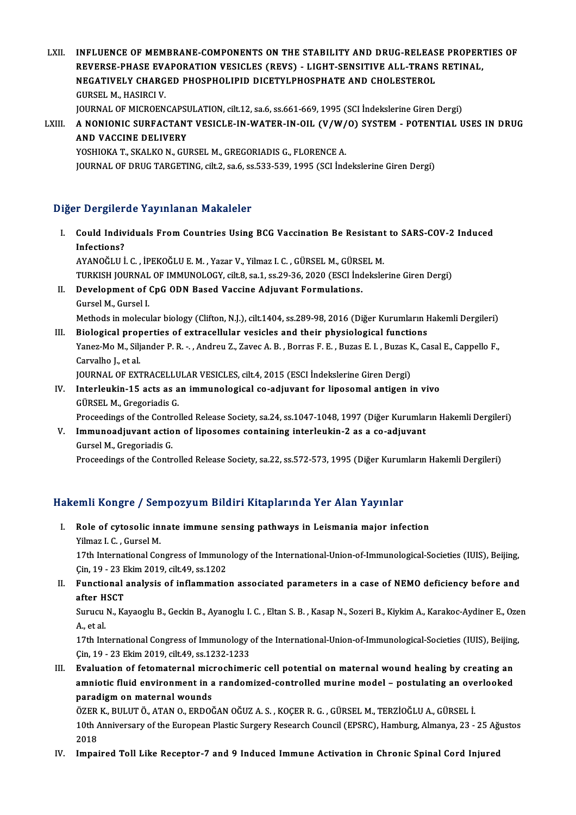LXII. INFLUENCE OF MEMBRANE-COMPONENTS ON THE STABILITY AND DRUG-RELEASE PROPERTIES OF INFLUENCE OF MEMBRANE-COMPONENTS ON THE STABILITY AND DRUG-RELEASE PROPER'<br>REVERSE-PHASE EVAPORATION VESICLES (REVS) - LIGHT-SENSITIVE ALL-TRANS RETINAL,<br>NECATIVELY CHARCED PHOSPHOLIPID DICETYLPHOSPHATE AND CHOLESTEROL INFLUENCE OF MEMBRANE-COMPONENTS ON THE STABILITY AND DRUG-RELEAS<br>REVERSE-PHASE EVAPORATION VESICLES (REVS) - LIGHT-SENSITIVE ALL-TRANS<br>NEGATIVELY CHARGED PHOSPHOLIPID DICETYLPHOSPHATE AND CHOLESTEROL<br>CURSEL M. HASIRCLY REVERSE-PHASE EVA<br>NEGATIVELY CHARG<br>GURSEL M., HASIRCI V.<br>JOUPMAL OF MICROEN NEGATIVELY CHARGED PHOSPHOLIPID DICETYLPHOSPHATE AND CHOLESTEROL<br>GURSEL M., HASIRCI V.<br>JOURNAL OF MICROENCAPSULATION, cilt.12, sa.6, ss.661-669, 1995 (SCI İndekslerine Giren Dergi)<br>A NONIONIC SUREACTANT VESICI E IN WATER I

GURSEL M., HASIRCI V.<br>JOURNAL OF MICROENCAPSULATION, cilt.12, sa.6, ss.661-669, 1995 (SCI İndekslerine Giren Dergi)<br>LXIII. A NONIONIC SURFACTANT VESICLE-IN-WATER-IN-OIL (V/W/O) SYSTEM - POTENTIAL USES IN DRUG<br>AND VACCI **JOURNAL OF MICROENCAPS<br>A NONIONIC SURFACTANY<br>AND VACCINE DELIVERY<br>VOSUIOVA T-SKALVO N-CU** A NONIONIC SURFACTANT VESICLE-IN-WATER-IN-OIL (V/W/<br>AND VACCINE DELIVERY<br>YOSHIOKA T., SKALKO N., GURSEL M., GREGORIADIS G., FLORENCE A.<br>JOUPMAL OF DRUC TARCETING sitt 2, 82 6, 85 522, 529, 1995, (SCLInd

AND VACCINE DELIVERY<br>YOSHIOKA T., SKALKO N., GURSEL M., GREGORIADIS G., FLORENCE A.<br>JOURNAL OF DRUG TARGETING, cilt.2, sa.6, ss.533-539, 1995 (SCI İndekslerine Giren Dergi)

#### Diğer Dergilerde Yayınlanan Makaleler

- Iger Dergilerde Yayınlanan Makaleler<br>I. Could Individuals From Countries Using BCG Vaccination Be Resistant to SARS-COV-2 Induced Infections?<br>Infections?<br>Infections? Could Individuals From Countries Using BCG Vaccination Be Resistant<br>Infections?<br>AYANOĞLU İ. C. , İPEKOĞLU E. M. , Yazar V., Yilmaz I. C. , GÜRSEL M., GÜRSEL M.<br>TURKISH JOURNAL OF IMMUNOLOGY, silt 8, sa 1, sa 20, 26, 2020 ( Infections?<br>AYANOĞLU İ. C. , İPEKOĞLU E. M. , Yazar V., Yılmaz I. C. , GÜRSEL M., GÜRSEL M.<br>TURKISH JOURNAL OF IMMUNOLOGY, cilt.8, sa.1, ss.29-36, 2020 (ESCI İndekslerine Giren Dergi)<br>Pavelanmant of CpC ODN Based Vassine A AYANOĞLU İ. C. , İPEKOĞLU E. M. , Yazar V., Yilmaz I. C. , GÜRSEL M., GÜRSI<br>TURKISH JOURNAL OF IMMUNOLOGY, cilt.8, sa.1, ss.29-36, 2020 (ESCI İnd<br>II. Development of CpG ODN Based Vaccine Adjuvant Formulations.<br>Cursel M. Cu TURKISH JOURNAL<br>Development of (<br>Gursel M., Gursel I.<br>Mathoda in malaru
- II. Development of CpG ODN Based Vaccine Adjuvant Formulations.<br>Gursel M., Gursel I.<br>Methods in molecular biology (Clifton, N.J.), cilt.1404, ss.289-98, 2016 (Diğer Kurumların Hakemli Dergileri)
- Gursel M., Gursel I.<br>Methods in molecular biology (Clifton, N.J.), cilt.1404, ss.289-98, 2016 (Diğer Kurumların H<br>III. Biological properties of extracellular vesicles and their physiological functions<br>Vanez Mo.M. Siliander Methods in molecular biology (Clifton, N.J.), cilt.1404, ss.289-98, 2016 (Diğer Kurumların Hakemli Dergileri)<br>Biological properties of extracellular vesicles and their physiological functions<br>Yanez-Mo M., Siljander P. R. -**Biological prop<br>Yanez-Mo M., Silj<br>Carvalho J., et al.<br>JOUPMAL OF EYT** Yanez-Mo M., Siljander P. R. -. , Andreu Z., Zavec A. B. , Borras F. E. , Buzas E. I. , Buzas F<br>Carvalho J., et al.<br>JOURNAL OF EXTRACELLULAR VESICLES, cilt.4, 2015 (ESCI İndekslerine Giren Dergi)<br>Interlevkin 15 ests es en JOURNAL OF EXTRACELLULAR VESICLES, cilt.4, 2015 (ESCI İndekslerine Giren Dergi)
- Carvalho J., et al.<br>JOURNAL OF EXTRACELLULAR VESICLES, cilt.4, 2015 (ESCI İndekslerine Giren Dergi)<br>IV. Interleukin-15 acts as an immunological co-adjuvant for liposomal antigen in vivo<br>GÜRSEL M., Gregoriadis G. Interleukin-15 acts as an immunological co-adjuvant for liposomal antigen in vivo<br>GÜRSEL M., Gregoriadis G.<br>Proceedings of the Controlled Release Society, sa.24, ss.1047-1048, 1997 (Diğer Kurumların Hakemli Dergileri)<br>Immu GÜRSEL M., Gregoriadis G.<br>Proceedings of the Controlled Release Society, sa.24, ss.1047-1048, 1997 (Diğer Kurumlai<br>V. Immunoadjuvant action of liposomes containing interleukin-2 as a co-adjuvant<br>Cursel M. Cregoriadis C
	-
- Proceedings of the Control<br>**Immunoadjuvant actio**<br>Gursel M., Gregoriadis G.<br>Proceedings of the Contr V. Immunoadjuvant action of liposomes containing interleukin-2 as a co-adjuvant<br>Gursel M., Gregoriadis G.<br>Proceedings of the Controlled Release Society, sa.22, ss.572-573, 1995 (Diğer Kurumların Hakemli Dergileri)

# 1995 (Diger Kurun) Proceedings of the Controlled Release Society, sa.22, ss.572-573, 1995<br>Hakemli Kongre / Sempozyum Bildiri Kitaplarında Yer Alan Yayınlar

akemli Kongre / Sempozyum Bildiri Kitaplarında Yer Alan Yayınlar<br>I. Role of cytosolic innate immune sensing pathways in Leismania major infection<br><sup>Vilmaz I. C. Curcel M</sup> I. Role of cytosolic innate immune sensing pathways in Leismania major infection Yilmaz I. C. , Gursel M. Role of cytosolic innate immune sensing pathways in Leismania major infection<br>Yilmaz I. C. , Gursel M.<br>17th International Congress of Immunology of the International-Union-of-Immunological-Societies (IUIS), Beijing,<br>Cin. 1

Yilmaz I. C. , Gursel M.<br>17th International Congress of Immund<br>Çin, 19 - 23 Ekim 2019, cilt.49, ss.1202<br>Eunstianal analysis of inflammatio 17th International Congress of Immunology of the International-Union-of-Immunological-Societies (IUIS), Beijing,<br>Cin, 19 - 23 Ekim 2019, cilt.49, ss.1202<br>II. Functional analysis of inflammation associated parameters in a c

Cin, 19 - 23 Ekim 2019, cilt.49, ss.1202<br>II. Functional analysis of inflammation associated parameters in a case of NEMO deficiency before and after HSCT

Surucu N., Kayaoglu B., Geckin B., Ayanoglu I. C. , Eltan S. B. , Kasap N., Sozeri B., Kiykim A., Karakoc-Aydiner E., Ozen<br>A., et al. Surucu N., Kayaoglu B., Geckin B., Ayanoglu I. C. , Eltan S. B. , Kasap N., Sozeri B., Kiykim A., Karakoc-Aydiner E., Oze<br>A., et al.<br>17th International Congress of Immunology of the International-Union-of-Immunological-Soc

A., et al.<br>17th International Congress of Immunology<br>Çin, 19 - 23 Ekim 2019, cilt.49, ss.1232-1233<br>Fyolustion of fotomaternal misroshimor 17th International Congress of Immunology of the International-Union-of-Immunological-Societies (IUIS), Beijing<br>
Cin, 19 - 23 Ekim 2019, cilt.49, ss.1232-1233<br>
III. Evaluation of fetomaternal microchimeric cell potential o

Çin, 19 - 23 Ekim 2019, cilt.49, ss.1232-1233<br>Evaluation of fetomaternal microchimeric cell potential on maternal wound healing by creating an<br>amniotic fluid environment in a randomized-controlled murine model – postulatin Evaluation of fetomaternal mic<br>amniotic fluid environment in a<br>paradigm on maternal wounds<br>ÖZEP K. PULUTÖ ATAN O EPDO amniotic fluid environment in a randomized-controlled murine model – postulating an ove<br>paradigm on maternal wounds<br>ÖZER K., BULUT Ö., ATAN O., ERDOĞAN OĞUZ A. S. , KOÇER R. G. , GÜRSEL M., TERZİOĞLU A., GÜRSEL İ.<br>10th Ann

paradigm on maternal wounds<br>ÖZER K., BULUT Ö., ATAN O., ERDOĞAN OĞUZ A. S. , KOÇER R. G. , GÜRSEL M., TERZİOĞLU A., GÜRSEL İ.<br>10th Anniversary of the European Plastic Surgery Research Council (EPSRC), Hamburg, Almanya, 23 ÖZER<br>10th /<br>2018<br>Impai 10th Anniversary of the European Plastic Surgery Research Council (EPSRC), Hamburg, Almanya, 23 - 25 Ağ<br>2018<br>IV. Impaired Toll Like Receptor-7 and 9 Induced Immune Activation in Chronic Spinal Cord Injured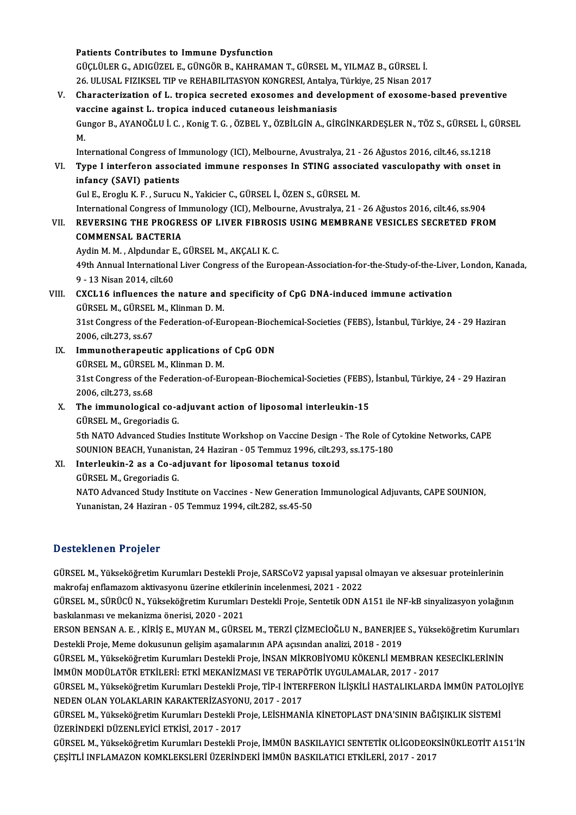#### Patients Contributes to Immune Dysfunction

GÜÇLÜLERG.,ADIGÜZEL E.,GÜNGÖRB.,KAHRAMANT.,GÜRSELM.,YILMAZB.,GÜRSEL İ. Patients Contributes to Immune Dysfunction<br>GÜÇLÜLER G., ADIGÜZEL E., GÜNGÖR B., KAHRAMAN T., GÜRSEL M., YILMAZ B., GÜRSEL İ.<br>26. ULUSAL FIZIKSEL TIP ve REHABILITASYON KONGRESI, Antalya, Türkiye, 25 Nisan 2017<br>Chanasterisst

V. Characterization of L. tropica secreted exosomes and development of exosome-based preventive 26. ULUSAL FIZIKSEL TIP ve REHABILITASYON KONGRESI, Antalya,<br>Characterization of L. tropica secreted exosomes and devel<br>vaccine against L. tropica induced cutaneous leishmaniasis<br>Cunger B. AVANOČLU L.C. Konig T.C. ÖZPEL V. Characterization of L. tropica secreted exosomes and development of exosome-based preventive<br>vaccine against L. tropica induced cutaneous leishmaniasis<br>Gungor B., AYANOĞLU İ. C. , Konig T. G. , ÖZBEL Y., ÖZBİLGİN A., GİRGİ va<br>Gu<br>Int Gungor B., AYANOĞLU İ. C. , Konig T. G. , ÖZBEL Y., ÖZBİLGİN A., GİRGİNKARDEŞLER N., TÖZ S., GÜRSEL İ., G<br>M.<br>International Congress of Immunology (ICI), Melbourne, Avustralya, 21 - 26 Ağustos 2016, cilt.46, ss.1218<br>Tune Li M.<br>International Congress of Immunology (ICI), Melbourne, Avustralya, 21 - 26 Ağustos 2016, cilt.46, ss.1218<br>VI. Type I interferon associated immune responses In STING associated vasculopathy with onset in<br>infoney (SAV

## International Congress of Immunology (ICI), Melbourne, Avustralya, 21 - 26 Ağustos 2016, cilt.46, ss.1218<br>Type I interferon associated immune responses In STING associated vasculopathy with onset<br>infancy (SAVI) patients<br>Gu Type I interferon associated immune responses In STING association<br>infancy (SAVI) patients<br>Gul E., Eroglu K. F. , Surucu N., Yakicier C., GÜRSEL İ., ÖZEN S., GÜRSEL M.<br>International Congress of Immunalegy (ICI), Malbourne,

International Congress of Immunology (ICI), Melbourne, Avustralya, 21 - 26 Ağustos 2016, cilt.46, ss.904

#### VII. REVERSING THE PROGRESS OF LIVER FIBROSIS USING MEMBRANE VESICLES SECRETED FROM COMMENSAL BACTERIA REVERSING THE PROGRESS OF LIVER FIBROSI<br>COMMENSAL BACTERIA<br>Aydin M. M. , Alpdundar E., GÜRSEL M., AKÇALI K. C.<br>40th Annual International Liver Congress of the Eur

49th Annual International Liver Congress of the European-Association-for-the-Study-of-the-Liver, London, Kanada,<br>9 - 13 Nisan 2014, cilt.60 Aydin M. M. , Alpdundar E<br>49th Annual International<br>9 - 13 Nisan 2014, cilt.60<br>GYGI 16 influences the 49th Annual International Liver Congress of the European-Association-for-the-Study-of-the-Liver<br>9 - 13 Nisan 2014, cilt.60<br>VIII. CXCL16 influences the nature and specificity of CpG DNA-induced immune activation<br>CURSEL M. C

## 9 - 13 Nisan 2014, cilt.60<br>CXCL16 influences the nature and<br>GÜRSEL M., GÜRSEL M., Klinman D. M.<br>21st Congress of the Esdevation of Eu CXCL16 influences the nature and specificity of CpG DNA-induced immune activation<br>GÜRSEL M., GÜRSEL M., Klinman D. M.<br>31st Congress of the Federation-of-European-Biochemical-Societies (FEBS), İstanbul, Türkiye, 24 - 29 Haz

GÜRSEL M., GÜRSEL<br>31st Congress of the<br>2006, cilt.273, ss.67<br>Immunatheraneut 31st Congress of the Federation-of-European-Bioch<br>2006, cilt.273, ss.67<br>IX. Immunotherapeutic applications of CpG ODN<br>CÜBSEL M. CÜBSEL M. Klinman D. M

### 2006, cilt.273, ss.67<br>Immunotherapeutic applications<br>GÜRSEL M., GÜRSEL M., Klinman D. M.<br>21st Congress of the Eederation of Eu Immunotherapeutic applications of CpG ODN<br>GÜRSEL M., GÜRSEL M., Klinman D. M.<br>31st Congress of the Federation-of-European-Biochemical-Societies (FEBS), İstanbul, Türkiye, 24 - 29 Haziran<br>2006. silt 273, ss.68 GÜRSEL M., GÜRSEL<br>31st Congress of the<br>2006, cilt.273, ss.68<br>The immunelesies 31st Congress of the Federation-of-European-Biochemical-Societies (FEBS)<br>2006, cilt.273, ss.68<br>X. The immunological co-adjuvant action of liposomal interleukin-15<br>Cilposel M. Cressoriadis C.

#### 2006, cilt.273, ss.68<br>
X. The immunological co-adjuvant action of liposomal interleukin-15<br>
GÜRSEL M., Gregoriadis G. 5th NATO Advanced Studies Institute Workshop on Vaccine Design - The Role of Cytokine Networks, CAPE GÜRSEL M., Gregoriadis G.<br>5th NATO Advanced Studies Institute Workshop on Vaccine Design - The Role of C<br>SOUNION BEACH, Yunanistan, 24 Haziran - 05 Temmuz 1996, cilt.293, ss.175-180<br>Interlevkin 3 es e Go ediuvent for lines 5th NATO Advanced Studies Institute Workshop on Vaccine Design -<br>SOUNION BEACH, Yunanistan, 24 Haziran - 05 Temmuz 1996, cilt.29:<br>XI. Interleukin-2 as a Co-adjuvant for liposomal tetanus toxoid

## SOUNION BEACH, Yunanist<br>Interleukin-2 as a Co-ac<br>GÜRSEL M., Gregoriadis G.<br>NATO Advanced Study Inst

Interleukin-2 as a Co-adjuvant for liposomal tetanus toxoid<br>GÜRSEL M., Gregoriadis G.<br>NATO Advanced Study Institute on Vaccines - New Generation Immunological Adjuvants, CAPE SOUNION,<br>Yunanistan 24 Harizan, OE Tammuz 1994, GÜRSEL M., Gregoriadis G.<br>NATO Advanced Study Institute on Vaccines - New Generatioı<br>Yunanistan, 24 Haziran - 05 Temmuz 1994, cilt.282, ss.45-50 Yunanistan, 24 Haziran - 05 Temmuz 1994, cilt.282, ss.45-50<br>Desteklenen Projeler

GÜRSEL M., Yükseköğretim Kurumları Destekli Proje, SARSCoV2 yapısal yapısal olmayan ve aksesuar proteinlerinin makrofaj enflamazom aktivasyonu üzerine etkilerinin incelenmesi, 2021 - 2022 GÜRSEL M., Yükseköğretim Kurumları Destekli Proje, SARSCoV2 yapısal yapısal olmayan ve aksesuar proteinlerinin<br>makrofaj enflamazom aktivasyonu üzerine etkilerinin incelenmesi, 2021 - 2022<br>GÜRSEL M., SÜRÜCÜ N., Yükseköğreti

makrofaj enflamazom aktivasyonu üzerine etkiler<br>GÜRSEL M., SÜRÜCÜ N., Yükseköğretim Kurumlar<br>baskılanması ve mekanizma önerisi, 2020 - 2021<br>ERSON RENSAN A. E., KİRİS E. MIWAN M., CÜRSE GÜRSEL M., SÜRÜCÜ N., Yükseköğretim Kurumları Destekli Proje, Sentetik ODN A151 ile NF-kB sinyalizasyon yolağının<br>baskılanması ve mekanizma önerisi, 2020 - 2021<br>ERSON BENSAN A. E. , KİRİŞ E., MUYAN M., GÜRSEL M., TERZİ ÇİZ

baskılanması ve mekanizma önerisi, 2020 - 2021<br>ERSON BENSAN A. E. , KİRİŞ E., MUYAN M., GÜRSEL M., TERZİ ÇİZMECİOĞLU N., BANERJEE<br>Destekli Proje, Meme dokusunun gelişim aşamalarının APA açısından analizi, 2018 - 2019<br>CÜRSE ERSON BENSAN A. E. , KİRİŞ E., MUYAN M., GÜRSEL M., TERZİ ÇİZMECİOĞLU N., BANERJEE S., Yükseköğretim Kuruml<br>Destekli Proje, Meme dokusunun gelişim aşamalarının APA açısından analizi, 2018 - 2019<br>GÜRSEL M., Yükseköğretim Ku

Destekli Proje, Meme dokusunun gelişim aşamalarının APA açısından analizi, 2018 - 2019<br>GÜRSEL M., Yükseköğretim Kurumları Destekli Proje, İNSAN MİKROBİYOMU KÖKENLİ MEMBRAN K<br>İMMÜN MODÜLATÖR ETKİLERİ: ETKİ MEKANİZMASI VE TE

GÜRSEL M., Yükseköğretim Kurumları Destekli Proje, İNSAN MİKROBİYOMU KÖKENLİ MEMBRAN KESECİKLERİNİN<br>İMMÜN MODÜLATÖR ETKİLERİ: ETKİ MEKANİZMASI VE TERAPÖTİK UYGULAMALAR, 2017 - 2017<br>GÜRSEL M., Yükseköğretim Kurumları Destek İMMÜN MODÜLATÖR ETKİLERİ: ETKİ MEKANİZMASI VE TERAPO<br>GÜRSEL M., Yükseköğretim Kurumları Destekli Proje, TİP-I İNTEI<br>NEDEN OLAN YOLAKLARIN KARAKTERİZASYONU, 2017 - 2017<br>GÜRSEL M. Vülseköğretim Kurumları Destekli Broje, LEİS GÜRSEL M., Yükseköğretim Kurumları Destekli Proje, TİP-I İNTERFERON İLİŞKİLİ HASTALIKLARDA İMMÜN PATOL<br>NEDEN OLAN YOLAKLARIN KARAKTERİZASYONU, 2017 - 2017<br>GÜRSEL M., Yükseköğretim Kurumları Destekli Proje, LEİSHMANİA KİNET

NEDEN OLAN YOLAKLARIN KARAKTERİZASYON<br>GÜRSEL M., Yükseköğretim Kurumları Destekli Pı<br>ÜZERİNDEKİ DÜZENLEYİCİ ETKİSİ, 2017 - 2017<br>GÜRSEL M. Vükseköğretim Kurumları Destekli Pı GÜRSEL M., Yükseköğretim Kurumları Destekli Proje, LEİSHMANİA KİNETOPLAST DNA'SININ BAĞIŞIKLIK SİSTEMİ<br>ÜZERİNDEKİ DÜZENLEYİCI ETKİSİ, 2017 - 2017<br>GÜRSEL M., Yükseköğretim Kurumları Destekli Proje, İMMÜN BASKILAYICI SENTETİ

ÜZERİNDEKİ DÜZENLEYİCİ ETKİSİ, 2017 - 2017<br>GÜRSEL M., Yükseköğretim Kurumları Destekli Proje, İMMÜN BASKILAYICI SENTETİK OLİGODEOKSİNÜKLEOTİT A151'İN<br>ÇEŞİTLİ INFLAMAZON KOMKLEKSLERİ ÜZERİNDEKİ İMMÜN BASKILATICI ETKİLERİ, 2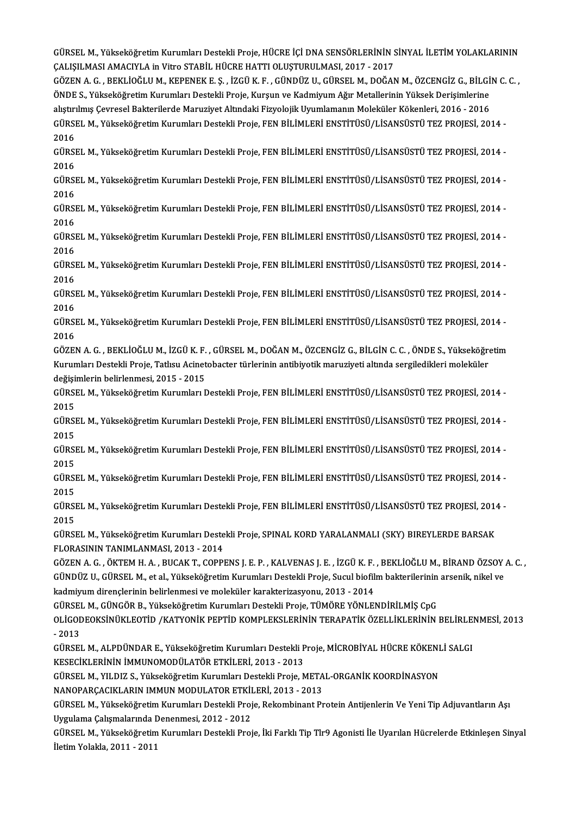GÜRSEL M., Yükseköğretim Kurumları Destekli Proje, HÜCRE İÇİ DNA SENSÖRLERİNİN SİNYAL İLETİM YOLAKLARININ<br>CALISILMASLAMACIYLA in Vitro STARİL HÜCRE HATTLOLUSTURU MASL 2017 - 2017 GÜRSEL M., Yükseköğretim Kurumları Destekli Proje, HÜCRE İÇİ DNA SENSÖRLERİNİN S<br>ÇALIŞILMASI AMACIYLA in Vitro STABİL HÜCRE HATTI OLUŞTURULMASI, 2017 - 2017<br>ÇÖZEN A.C., REKLİQĞLU M. KERENEK E.Ş., İZÇÜ K.E., ÇÜNDÜZ U. ÇÜRSE GÜRSEL M., Yükseköğretim Kurumları Destekli Proje, HÜCRE İÇİ DNA SENSÖRLERİNİN SİNYAL İLETİM YOLAKLARININ<br>ÇALIŞILMASI AMACIYLA in Vitro STABİL HÜCRE HATTI OLUŞTURULMASI, 2017 - 2017<br>GÖZEN A. G. , BEKLİOĞLU M., KEPENEK E. Ş

ÇALIŞILMASI AMACIYLA in Vitro STABİL HÜCRE HATTI OLUŞTURULMASI, 2017 - 2017<br>GÖZEN A. G. , BEKLİOĞLU M., KEPENEK E. Ş. , İZGÜ K. F. , GÜNDÜZ U., GÜRSEL M., DOĞAN M., ÖZCENGİZ G., BİLGİ<br>ÖNDE S., Yükseköğretim Kurumları Deste GÖZEN A. G. , BEKLİOĞLU M., KEPENEK E. Ş. , İZGÜ K. F. , GÜNDÜZ U., GÜRSEL M., DOĞAN M., ÖZCENGİZ G., BİLGİ<br>ÖNDE S., Yükseköğretim Kurumları Destekli Proje, Kurşun ve Kadmiyum Ağır Metallerinin Yüksek Derişimlerine<br>alıştır ÖNDE S., Yükseköğretim Kurumları Destekli Proje, Kurşun ve Kadmiyum Ağır Metallerinin Yüksek Derişimlerine<br>alıştırılmış Çevresel Bakterilerde Maruziyet Altındaki Fizyolojik Uyumlamanın Moleküler Kökenleri, 2016 - 2016<br>GÜRS alıştırı<br>GÜRSI<br>2016<br>Güren GÜRSEL M., Yükseköğretim Kurumları Destekli Proje, FEN BİLİMLERİ ENSTİTÜSÜ/LİSANSÜSTÜ TEZ PROJESİ, 2014 -<br>2016<br>GÜRSEL M., Yükseköğretim Kurumları Destekli Proje, FEN BİLİMLERİ ENSTİTÜSÜ/LİSANSÜSTÜ TEZ PROJESİ, 2014 -<br>2016

2016<br>GÜRSEL M., Yükseköğretim Kurumları Destekli Proje, FEN BİLİMLERİ ENSTİTÜSÜ/LİSANSÜSTÜ TEZ PROJESİ, 2014 -<br>2016 GÜRSEL M., Yükseköğretim Kurumları Destekli Proje, FEN BİLİMLERİ ENSTİTÜSÜ/LİSANSÜSTÜ TEZ PROJESİ, 2014 -<br>2016<br>GÜRSEL M., Yükseköğretim Kurumları Destekli Proje, FEN BİLİMLERİ ENSTİTÜSÜ/LİSANSÜSTÜ TEZ PROJESİ, 2014 -<br>2016

2016<br>GÜRSI<br>2016<br>GÜRSI GÜRSEL M., Yükseköğretim Kurumları Destekli Proje, FEN BİLİMLERİ ENSTİTÜSÜ/LİSANSÜSTÜ TEZ PROJESİ, 2014 -<br>2016<br>GÜRSEL M., Yükseköğretim Kurumları Destekli Proje, FEN BİLİMLERİ ENSTİTÜSÜ/LİSANSÜSTÜ TEZ PROJESİ, 2014 -<br>2016

2016<br>GÜRSEL M., Yükseköğretim Kurumları Destekli Proje, FEN BİLİMLERİ ENSTİTÜSÜ/LİSANSÜSTÜ TEZ PROJESİ, 2014 -<br>2016 GÜRSEL M., Yükseköğretim Kurumları Destekli Proje, FEN BİLİMLERİ ENSTİTÜSÜ/LİSANSÜSTÜ TEZ PROJESİ, 2014 -<br>2016<br>GÜRSEL M., Yükseköğretim Kurumları Destekli Proje, FEN BİLİMLERİ ENSTİTÜSÜ/LİSANSÜSTÜ TEZ PROJESİ, 2014 -<br>2016

2016<br>GÜRSI<br>2016<br>CÜRSI GÜRSEL M., Yükseköğretim Kurumları Destekli Proje, FEN BİLİMLERİ ENSTİTÜSÜ/LİSANSÜSTÜ TEZ PROJESİ, 2014 -<br>2016<br>GÜRSEL M., Yükseköğretim Kurumları Destekli Proje, FEN BİLİMLERİ ENSTİTÜSÜ/LİSANSÜSTÜ TEZ PROJESİ, 2014 -<br>2016

2016<br>GÜRSI<br>2016<br>CÜRSI GÜRSEL M., Yükseköğretim Kurumları Destekli Proje, FEN BİLİMLERİ ENSTİTÜSÜ/LİSANSÜSTÜ TEZ PROJESİ, 2014 -<br>2016<br>GÜRSEL M., Yükseköğretim Kurumları Destekli Proje, FEN BİLİMLERİ ENSTİTÜSÜ/LİSANSÜSTÜ TEZ PROJESİ, 2014 -<br>2016

2016<br>GÜRSEL M., Yükseköğretim Kurumları Destekli Proje, FEN BİLİMLERİ ENSTİTÜSÜ/LİSANSÜSTÜ TEZ PROJESİ, 2014 -<br>2016 GÜRSEL M., Yükseköğretim Kurumları Destekli Proje, FEN BİLİMLERİ ENSTİTÜSÜ/LİSANSÜSTÜ TEZ PROJESİ, 2014 -<br>2016<br>GÜRSEL M., Yükseköğretim Kurumları Destekli Proje, FEN BİLİMLERİ ENSTİTÜSÜ/LİSANSÜSTÜ TEZ PROJESİ, 2014 -<br>2016

2016<br>GÜRSI<br>2016<br>GÖZEI GÜRSEL M., Yükseköğretim Kurumları Destekli Proje, FEN BİLİMLERİ ENSTİTÜSÜ/LİSANSÜSTÜ TEZ PROJESİ, 2014 -<br>2016<br>GÖZEN A. G. , BEKLİOĞLU M., İZGÜ K. F. , GÜRSEL M., DOĞAN M., ÖZCENGİZ G., BİLGİN C. C. , ÖNDE S., Yükseköğreti

2016<br>GÖZEN A. G. , BEKLİOĞLU M., İZGÜ K. F. , GÜRSEL M., DOĞAN M., ÖZCENGİZ G., BİLGİN C. C. , ÖNDE S., Yükseköğre<br>Kurumları Destekli Proje, Tatlısu Acinetobacter türlerinin antibiyotik maruziyeti altında sergiledikleri mo GÖZEN A. G. , BEKLİOĞLU M., İZGÜ K. F.<br>Kurumları Destekli Proje, Tatlısu Acinet<br>değişimlerin belirlenmesi, 2015 - 2015<br>CÜBSEL M. Vükseköğretim Kurumları L Kurumları Destekli Proje, Tatlısu Acinetobacter türlerinin antibiyotik maruziyeti altında sergiledikleri moleküler<br>değişimlerin belirlenmesi, 2015 - 2015<br>GÜRSEL M., Yükseköğretim Kurumları Destekli Proje, FEN BİLİMLERİ ENS

değişi<br>GÜRSI<br>2015<br>Gürsi GÜRSEL M., Yükseköğretim Kurumları Destekli Proje, FEN BİLİMLERİ ENSTİTÜSÜ/LİSANSÜSTÜ TEZ PROJESİ, 2014 -<br>2015<br>GÜRSEL M., Yükseköğretim Kurumları Destekli Proje, FEN BİLİMLERİ ENSTİTÜSÜ/LİSANSÜSTÜ TEZ PROJESİ, 2014 -<br>2015

2015<br>GÜRSEL M., Yükseköğretim Kurumları Destekli Proje, FEN BİLİMLERİ ENSTİTÜSÜ/LİSANSÜSTÜ TEZ PROJESİ, 2014 -<br>2015 GÜRSEL M., Yükseköğretim Kurumları Destekli Proje, FEN BİLİMLERİ ENSTİTÜSÜ/LİSANSÜSTÜ TEZ PROJESİ, 2014 -<br>2015<br>GÜRSEL M., Yükseköğretim Kurumları Destekli Proje, FEN BİLİMLERİ ENSTİTÜSÜ/LİSANSÜSTÜ TEZ PROJESİ, 2014 -<br>2015

2015<br>GÜRSI<br>2015<br>Gürsu GÜRSEL M., Yükseköğretim Kurumları Destekli Proje, FEN BİLİMLERİ ENSTİTÜSÜ/LİSANSÜSTÜ TEZ PROJESİ, 2014 -<br>2015<br>GÜRSEL M., Yükseköğretim Kurumları Destekli Proje, FEN BİLİMLERİ ENSTİTÜSÜ/LİSANSÜSTÜ TEZ PROJESİ, 2014 -<br>2015

2015<br>GÜRSEL M., Yükseköğretim Kurumları Destekli Proje, FEN BİLİMLERİ ENSTİTÜSÜ/LİSANSÜSTÜ TEZ PROJESİ, 2014 -<br>2015 GÜRSEL M., Yükseköğretim Kurumları Destekli Proje, FEN BİLİMLERİ ENSTİTÜSÜ/LİSANSÜSTÜ TEZ PROJESİ, 2014 -<br>2015<br>GÜRSEL M., Yükseköğretim Kurumları Destekli Proje, FEN BİLİMLERİ ENSTİTÜSÜ/LİSANSÜSTÜ TEZ PROJESİ, 2014 -<br>2015

2015<br>GÜRSI<br>2015<br>Gürsi GÜRSEL M., Yükseköğretim Kurumları Destekli Proje, FEN BİLİMLERİ ENSTİTÜSÜ/LİSANSÜSTÜ TEZ PROJESİ, 201<sup>.</sup><br>2015<br>GÜRSEL M., Yükseköğretim Kurumları Destekli Proje, SPINAL KORD YARALANMALI (SKY) BIREYLERDE BARSAK<br>ELORASININ T

2015<br>GÜRSEL M., Yükseköğretim Kurumları Deste<br>FLORASININ TANIMLANMASI, 2013 - 2014<br>GÖZEN A. G., ÖYTEM H. A., PUGAK T. GOPPI GÜRSEL M., Yükseköğretim Kurumları Destekli Proje, SPINAL KORD YARALANMALI (SKY) BIREYLERDE BARSAK<br>FLORASININ TANIMLANMASI, 2013 - 2014<br>GÖZEN A. G. , ÖKTEM H. A. , BUCAK T., COPPENS J. E. P. , KALVENAS J. E. , İZGÜ K. F. ,

FLORASININ TANIMLANMASI, 2013 - 2014<br>GÖZEN A. G. , ÖKTEM H. A. , BUCAK T., COPPENS J. E. P. , KALVENAS J. E. , İZGÜ K. F. , BEKLİOĞLU M., BİRAND ÖZSOY<br>GÜNDÜZ U., GÜRSEL M., et al., Yükseköğretim Kurumları Destekli Proje, S GÖZEN A. G. , ÖKTEM H. A. , BUCAK T., COPPENS J. E. P. , KALVENAS J. E. , İZGÜ K. F.<br>GÜNDÜZ U., GÜRSEL M., et al., Yükseköğretim Kurumları Destekli Proje, Sucul biofil<br>kadmiyum dirençlerinin belirlenmesi ve moleküler karak GÜNDÜZ U., GÜRSEL M., et al., Yükseköğretim Kurumları Destekli Proje, Sucul biofilm bakterilerinin<br>kadmiyum dirençlerinin belirlenmesi ve moleküler karakterizasyonu, 2013 - 2014<br>GÜRSEL M., GÜNGÖR B., Yükseköğretim Kurumlar

kadmiyum dirençlerinin belirlenmesi ve moleküler karakterizasyonu, 2013 - 2014<br>GÜRSEL M., GÜNGÖR B., Yükseköğretim Kurumları Destekli Proje, TÜMÖRE YÖNLENDİRİLMİŞ CpG<br>OLİGODEOKSİNÜKLEOTİD /KATYONİK PEPTİD KOMPLEKSLERİNİN T GÜRSEI<br>OLİGOI<br>- 2013<br>CÜPSEI OLİGODEOKSİNÜKLEOTİD /KATYONİK PEPTİD KOMPLEKSLERİNİN TERAPATİK ÖZELLİKLERİNİN BELİRLE!<br>- 2013<br>GÜRSEL M., ALPDÜNDAR E., Yükseköğretim Kurumları Destekli Proje, MİCROBİYAL HÜCRE KÖKENLİ SALGI<br>KESECİKI FRİNİN İMMINOMODÜLATÖR

- 2013<br>GÜRSEL M., ALPDÜNDAR E., Yükseköğretim Kurumları Destekli P<br>KESECİKLERİNİN İMMUNOMODÜLATÖR ETKİLERİ, 2013 - 2013<br>GÜRSEL M. YU DIZ S. Yükseköğretim Kurumları Destekli Preja A GÜRSEL M., ALPDÜNDAR E., Yükseköğretim Kurumları Destekli Proje, MİCROBİYAL HÜCRE KÖKENI<br>KESECİKLERİNİN İMMUNOMODÜLATÖR ETKİLERİ, 2013 - 2013<br>GÜRSEL M., YILDIZ S., Yükseköğretim Kurumları Destekli Proje, METAL-ORGANİK KOOR

KESECİKLERİNIN İMMUNOMODÜLATÖR ETKİLERİ, 2013 - 2013<br>GÜRSEL M., YILDIZ S., Yükseköğretim Kurumları Destekli Proje, META<br>NANOPARÇACIKLARIN IMMUN MODULATOR ETKİLERİ, 2013 - 2013<br>CÜRSEL M. Yükseköğretim Kurumları Destekli Bre

GÜRSEL M., YILDIZ S., Yükseköğretim Kurumları Destekli Proje, METAL-ORGANİK KOORDİNASYON<br>NANOPARÇACIKLARIN IMMUN MODULATOR ETKİLERİ, 2013 - 2013<br>GÜRSEL M., Yükseköğretim Kurumları Destekli Proje, Rekombinant Protein Antije NANOPARÇACIKLARIN IMMUN MODULATOR ETKİI<br>GÜRSEL M., Yükseköğretim Kurumları Destekli Proj<br>Uygulama Çalışmalarında Denenmesi, 2012 - 2012<br>GÜRSEL M. Yükseköğretim Kurumları Destekli Broj GÜRSEL M., Yükseköğretim Kurumları Destekli Proje, Rekombinant Protein Antijenlerin Ve Yeni Tip Adjuvantların Aşı<br>Uygulama Çalışmalarında Denenmesi, 2012 - 2012<br>GÜRSEL M., Yükseköğretim Kurumları Destekli Proje, İki Farklı

Uygulama Çalışmalarında Denenmesi, 2012 - 2012<br>GÜRSEL M., Yükseköğretim Kurumları Destekli Proje, İki Farklı Tip Tlr9 Agonisti İle Uyarılan Hücrelerde Etkinleşen Sinyal<br>İletim Yolakla, 2011 - 2011